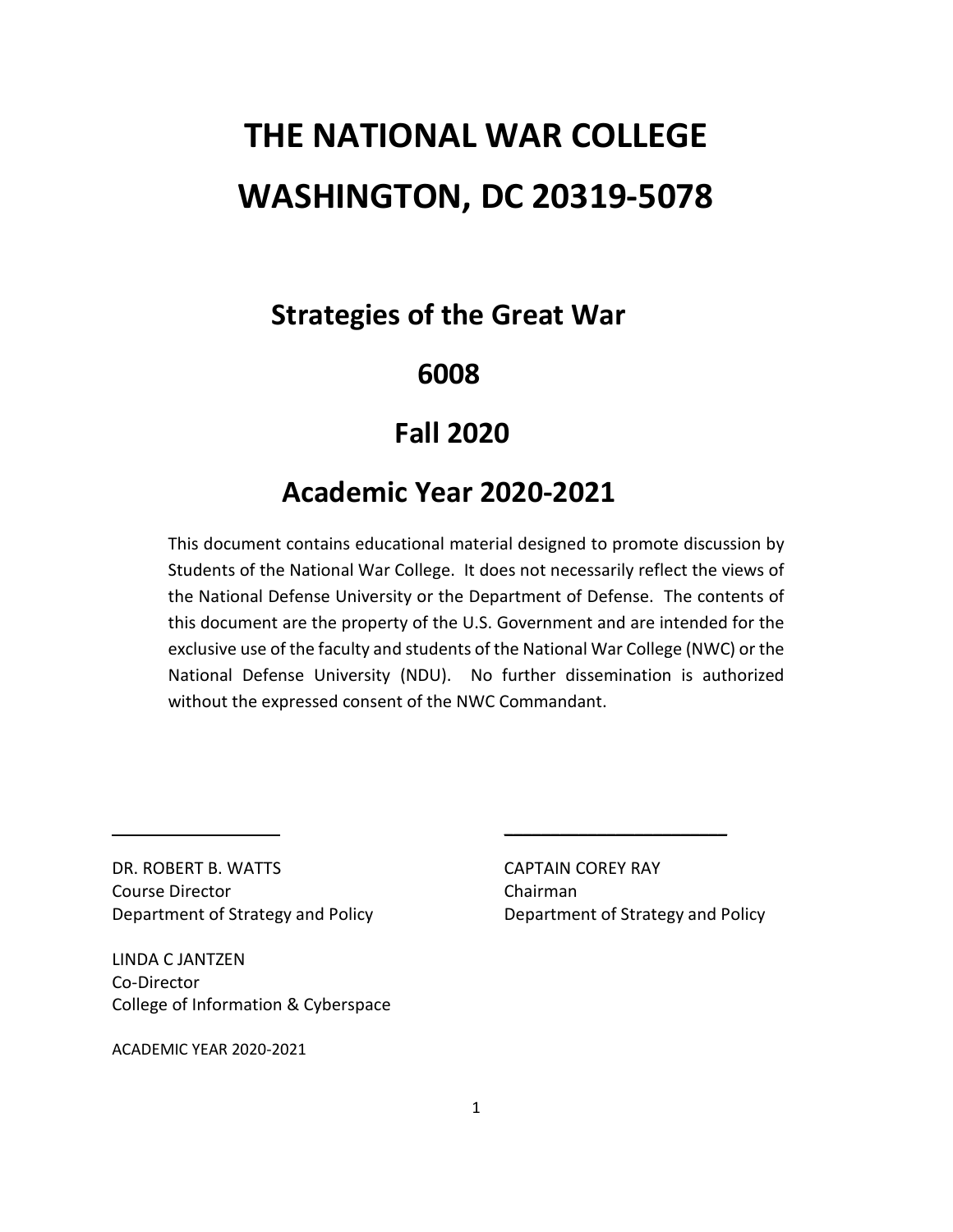# **THE NATIONAL WAR COLLEGE WASHINGTON, DC 20319-5078**

# **Strategies of the Great War**

# **6008**

# **Fall 2020**

# **Academic Year 2020-2021**

This document contains educational material designed to promote discussion by Students of the National War College. It does not necessarily reflect the views of the National Defense University or the Department of Defense. The contents of this document are the property of the U.S. Government and are intended for the exclusive use of the faculty and students of the National War College (NWC) or the National Defense University (NDU). No further dissemination is authorized without the expressed consent of the NWC Commandant.

DR. ROBERT B. WATTS CAPTAIN COREY RAY Course Director **Chairman** Department of Strategy and Policy Department of Strategy and Policy

LINDA C JANTZEN Co-Director College of Information & Cyberspace

ACADEMIC YEAR 2020-2021

 $\overline{\phantom{a}}$  , where  $\overline{\phantom{a}}$  , where  $\overline{\phantom{a}}$  , where  $\overline{\phantom{a}}$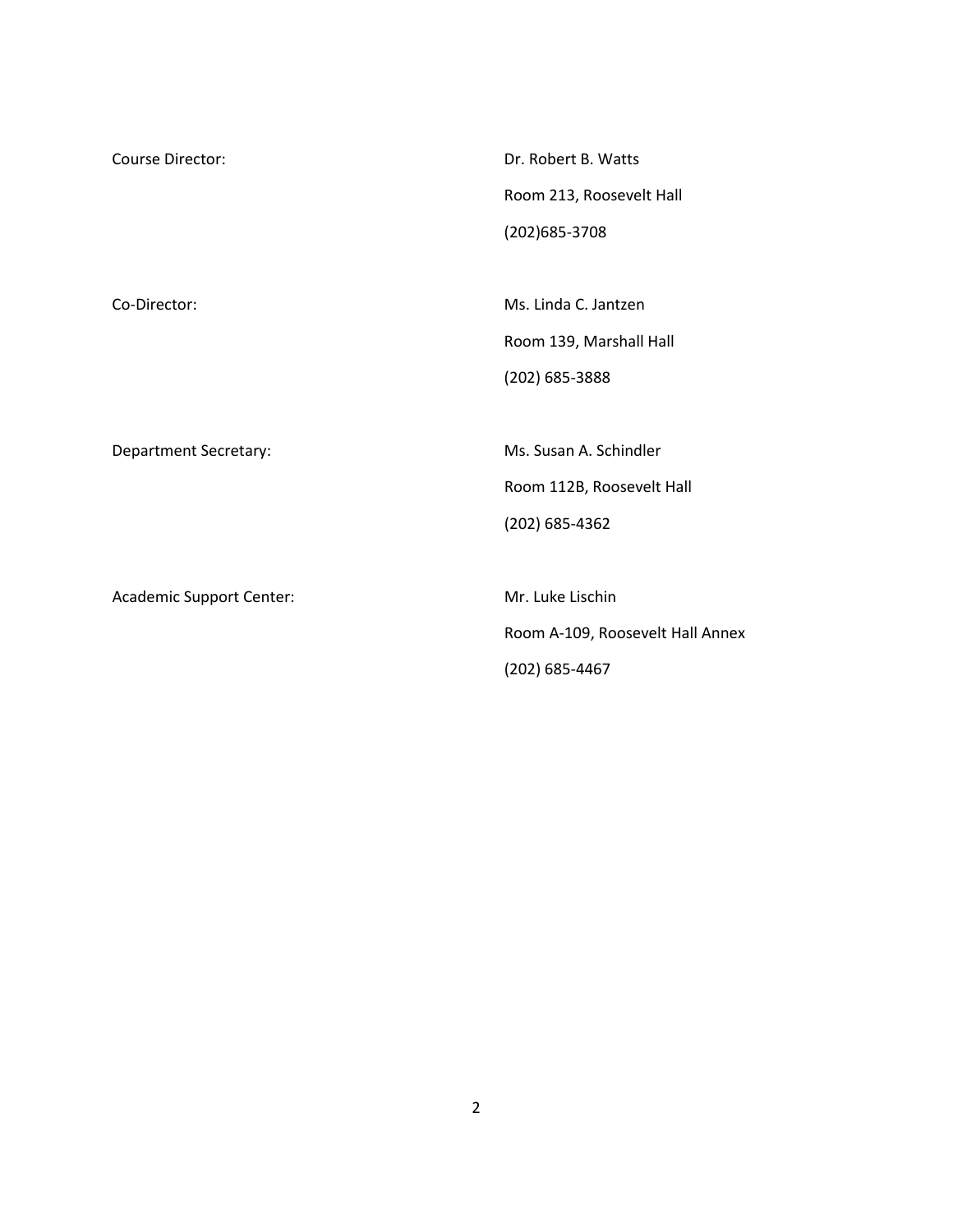| Course Director:             | Dr. Robert B. Watts              |  |
|------------------------------|----------------------------------|--|
|                              | Room 213, Roosevelt Hall         |  |
|                              | (202) 685-3708                   |  |
|                              |                                  |  |
| Co-Director:                 | Ms. Linda C. Jantzen             |  |
|                              | Room 139, Marshall Hall          |  |
|                              | (202) 685-3888                   |  |
|                              |                                  |  |
| <b>Department Secretary:</b> | Ms. Susan A. Schindler           |  |
|                              | Room 112B, Roosevelt Hall        |  |
|                              | $(202)$ 685-4362                 |  |
|                              |                                  |  |
| Academic Support Center:     | Mr. Luke Lischin                 |  |
|                              | Room A-109, Roosevelt Hall Annex |  |
|                              | (202) 685-4467                   |  |
|                              |                                  |  |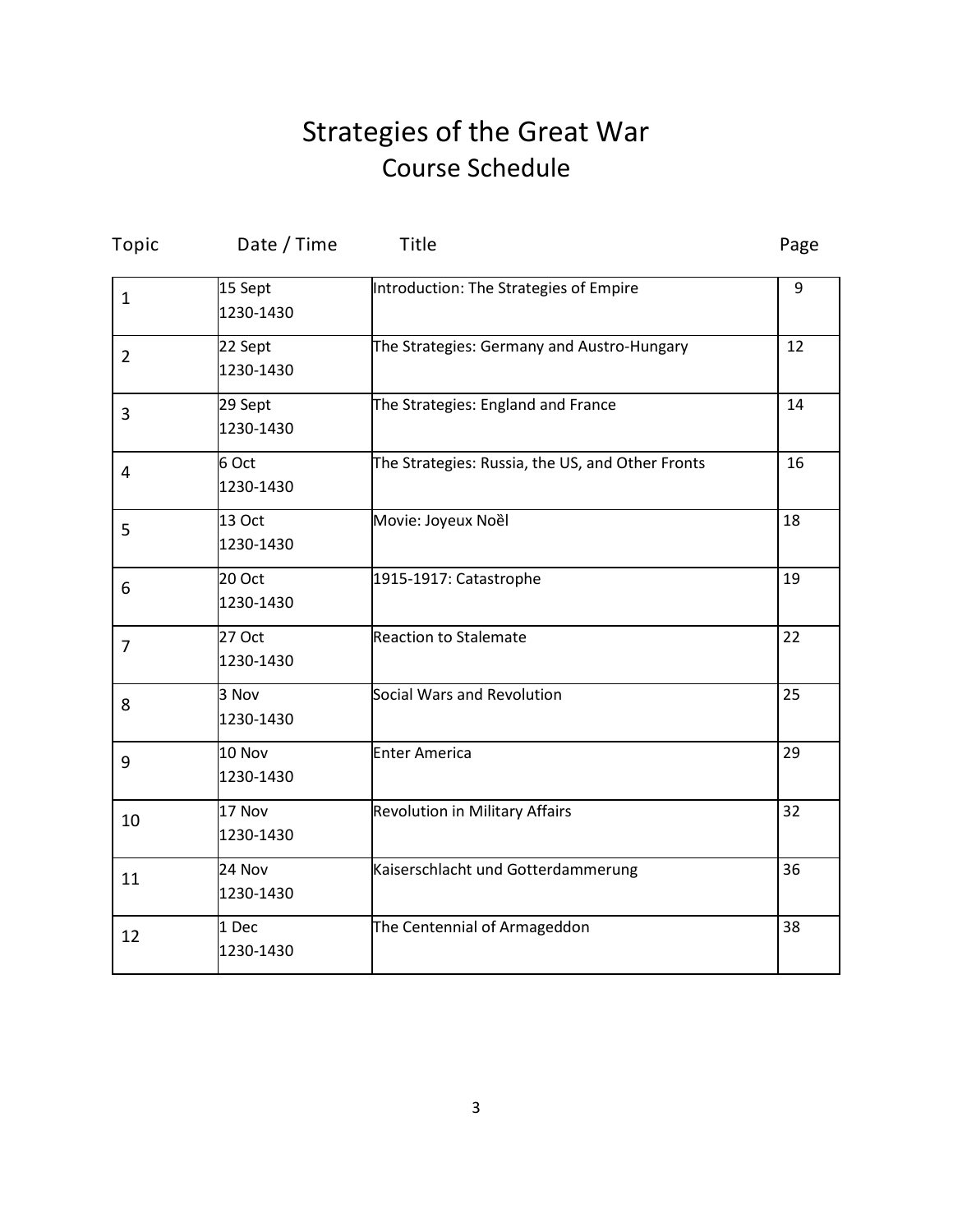# Strategies of the Great War Course Schedule

| Topic          | Date / Time          | Title                                            | Page |
|----------------|----------------------|--------------------------------------------------|------|
| $\mathbf{1}$   | 15 Sept<br>1230-1430 | Introduction: The Strategies of Empire           | 9    |
| $\overline{2}$ | 22 Sept<br>1230-1430 | The Strategies: Germany and Austro-Hungary       | 12   |
| 3              | 29 Sept<br>1230-1430 | The Strategies: England and France               | 14   |
| $\overline{4}$ | 6 Oct<br>1230-1430   | The Strategies: Russia, the US, and Other Fronts | 16   |
| 5              | 13 Oct<br>1230-1430  | Movie: Joyeux Noềl                               | 18   |
| 6              | 20 Oct<br>1230-1430  | 1915-1917: Catastrophe                           | 19   |
| $\overline{7}$ | 27 Oct<br>1230-1430  | <b>Reaction to Stalemate</b>                     | 22   |
| 8              | 3 Nov<br>1230-1430   | Social Wars and Revolution                       | 25   |
| 9              | 10 Nov<br>1230-1430  | <b>Enter America</b>                             | 29   |
| 10             | 17 Nov<br>1230-1430  | <b>Revolution in Military Affairs</b>            | 32   |
| 11             | 24 Nov<br>1230-1430  | Kaiserschlacht und Gotterdammerung               | 36   |
| 12             | 1 Dec<br>1230-1430   | The Centennial of Armageddon                     | 38   |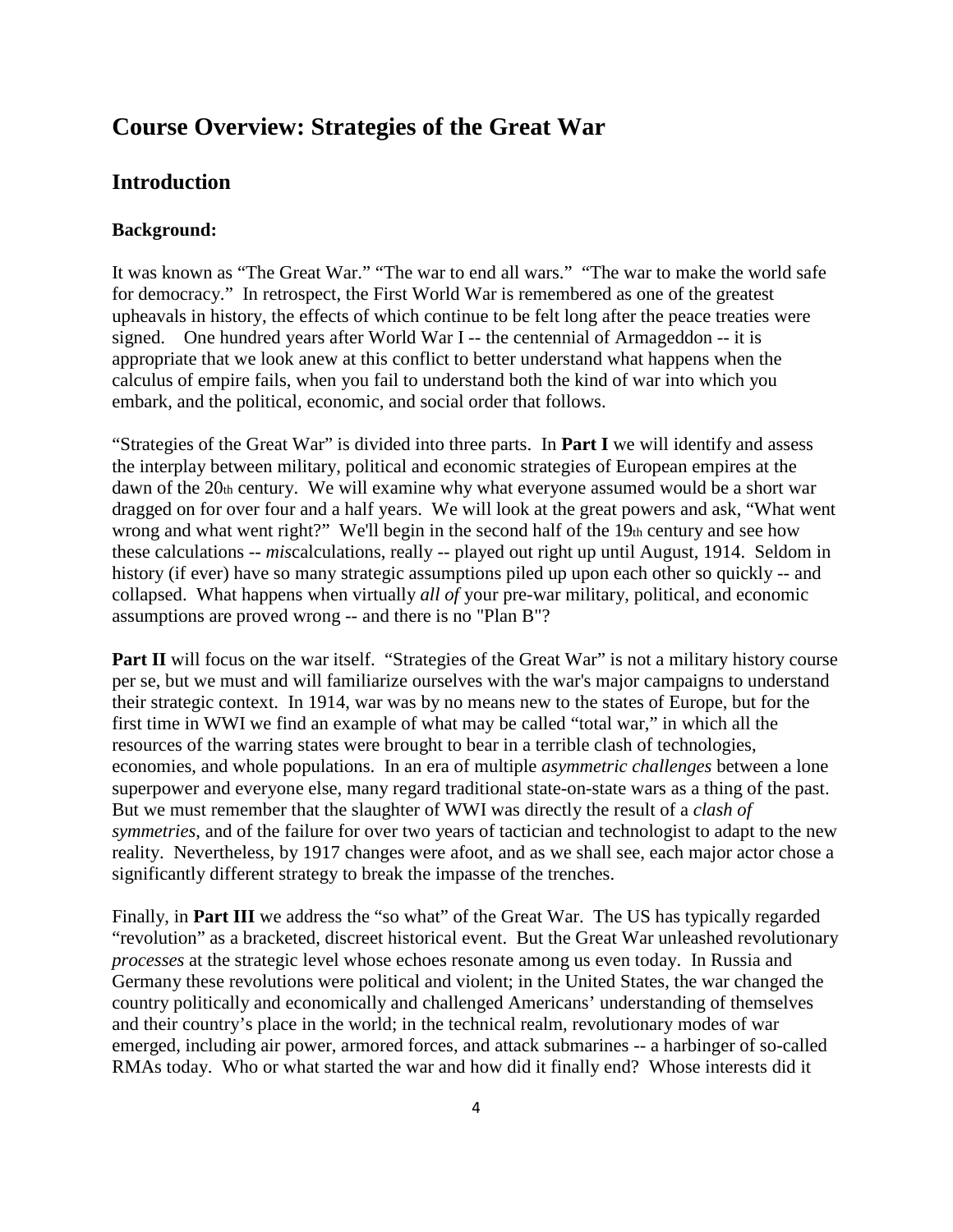# **Course Overview: Strategies of the Great War**

# **Introduction**

#### **Background:**

It was known as "The Great War." "The war to end all wars." "The war to make the world safe for democracy." In retrospect, the First World War is remembered as one of the greatest upheavals in history, the effects of which continue to be felt long after the peace treaties were signed. One hundred years after World War I -- the centennial of Armageddon -- it is appropriate that we look anew at this conflict to better understand what happens when the calculus of empire fails, when you fail to understand both the kind of war into which you embark, and the political, economic, and social order that follows.

"Strategies of the Great War" is divided into three parts. In **Part I** we will identify and assess the interplay between military, political and economic strategies of European empires at the dawn of the 20th century. We will examine why what everyone assumed would be a short war dragged on for over four and a half years. We will look at the great powers and ask, "What went wrong and what went right?" We'll begin in the second half of the 19th century and see how these calculations -- *mis*calculations, really -- played out right up until August, 1914. Seldom in history (if ever) have so many strategic assumptions piled up upon each other so quickly -- and collapsed. What happens when virtually *all of* your pre-war military, political, and economic assumptions are proved wrong -- and there is no "Plan B"?

**Part II** will focus on the war itself. "Strategies of the Great War" is not a military history course per se, but we must and will familiarize ourselves with the war's major campaigns to understand their strategic context. In 1914, war was by no means new to the states of Europe, but for the first time in WWI we find an example of what may be called "total war," in which all the resources of the warring states were brought to bear in a terrible clash of technologies, economies, and whole populations. In an era of multiple *asymmetric challenges* between a lone superpower and everyone else, many regard traditional state-on-state wars as a thing of the past. But we must remember that the slaughter of WWI was directly the result of a *clash of symmetries*, and of the failure for over two years of tactician and technologist to adapt to the new reality. Nevertheless, by 1917 changes were afoot, and as we shall see, each major actor chose a significantly different strategy to break the impasse of the trenches.

Finally, in **Part III** we address the "so what" of the Great War. The US has typically regarded "revolution" as a bracketed, discreet historical event. But the Great War unleashed revolutionary *processes* at the strategic level whose echoes resonate among us even today. In Russia and Germany these revolutions were political and violent; in the United States, the war changed the country politically and economically and challenged Americans' understanding of themselves and their country's place in the world; in the technical realm, revolutionary modes of war emerged, including air power, armored forces, and attack submarines -- a harbinger of so-called RMAs today. Who or what started the war and how did it finally end? Whose interests did it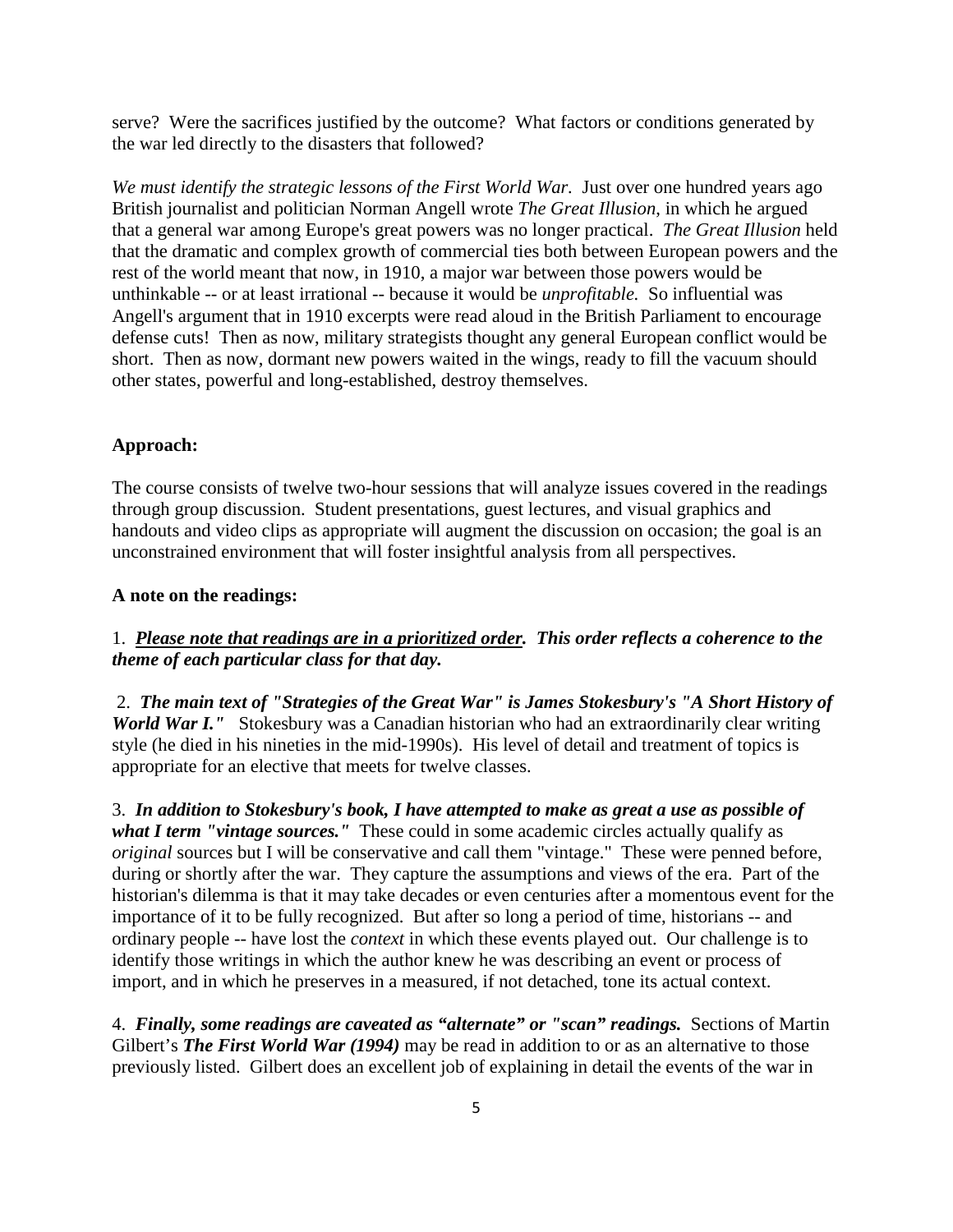serve? Were the sacrifices justified by the outcome? What factors or conditions generated by the war led directly to the disasters that followed?

*We must identify the strategic lessons of the First World War.* Just over one hundred years ago British journalist and politician Norman Angell wrote *The Great Illusion*, in which he argued that a general war among Europe's great powers was no longer practical. *The Great Illusion* held that the dramatic and complex growth of commercial ties both between European powers and the rest of the world meant that now, in 1910, a major war between those powers would be unthinkable -- or at least irrational -- because it would be *unprofitable.* So influential was Angell's argument that in 1910 excerpts were read aloud in the British Parliament to encourage defense cuts! Then as now, military strategists thought any general European conflict would be short. Then as now, dormant new powers waited in the wings, ready to fill the vacuum should other states, powerful and long-established, destroy themselves.

#### **Approach:**

The course consists of twelve two-hour sessions that will analyze issues covered in the readings through group discussion. Student presentations, guest lectures, and visual graphics and handouts and video clips as appropriate will augment the discussion on occasion; the goal is an unconstrained environment that will foster insightful analysis from all perspectives.

#### **A note on the readings:**

# 1. *Please note that readings are in a prioritized order. This order reflects a coherence to the theme of each particular class for that day.*

2. *The main text of "Strategies of the Great War" is James Stokesbury's "A Short History of World War I.*" Stokesbury was a Canadian historian who had an extraordinarily clear writing style (he died in his nineties in the mid-1990s). His level of detail and treatment of topics is appropriate for an elective that meets for twelve classes.

3. *In addition to Stokesbury's book, I have attempted to make as great a use as possible of what I term "vintage sources."* These could in some academic circles actually qualify as *original* sources but I will be conservative and call them "vintage." These were penned before, during or shortly after the war. They capture the assumptions and views of the era. Part of the historian's dilemma is that it may take decades or even centuries after a momentous event for the importance of it to be fully recognized. But after so long a period of time, historians -- and ordinary people -- have lost the *context* in which these events played out. Our challenge is to identify those writings in which the author knew he was describing an event or process of import, and in which he preserves in a measured, if not detached, tone its actual context.

4. *Finally, some readings are caveated as "alternate" or "scan" readings.* Sections of Martin Gilbert's *The First World War (1994)* may be read in addition to or as an alternative to those previously listed. Gilbert does an excellent job of explaining in detail the events of the war in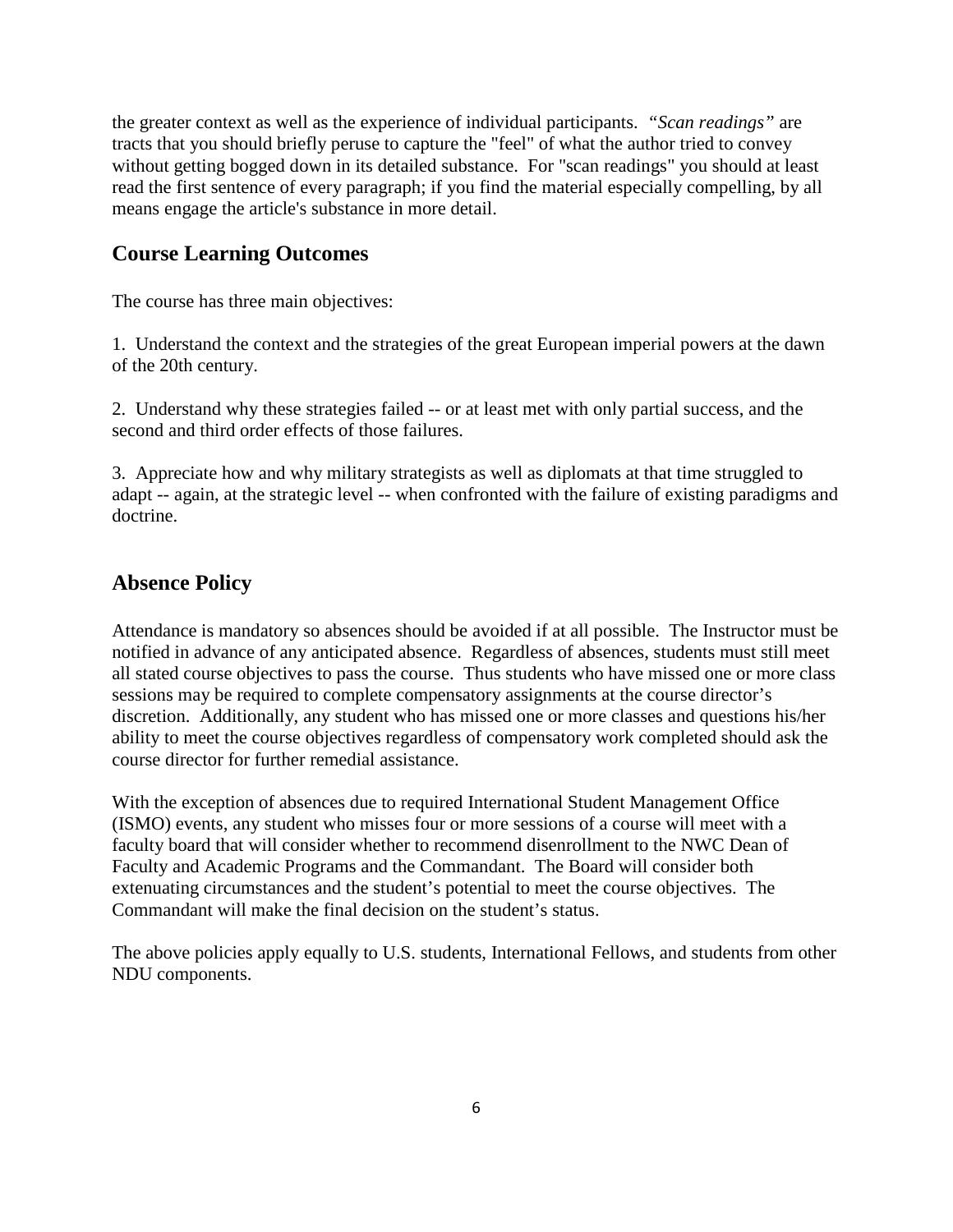the greater context as well as the experience of individual participants. *"Scan readings"* are tracts that you should briefly peruse to capture the "feel" of what the author tried to convey without getting bogged down in its detailed substance. For "scan readings" you should at least read the first sentence of every paragraph; if you find the material especially compelling, by all means engage the article's substance in more detail.

# **Course Learning Outcomes**

The course has three main objectives:

1. Understand the context and the strategies of the great European imperial powers at the dawn of the 20th century.

2. Understand why these strategies failed -- or at least met with only partial success, and the second and third order effects of those failures.

3. Appreciate how and why military strategists as well as diplomats at that time struggled to adapt -- again, at the strategic level -- when confronted with the failure of existing paradigms and doctrine.

# **Absence Policy**

Attendance is mandatory so absences should be avoided if at all possible. The Instructor must be notified in advance of any anticipated absence. Regardless of absences, students must still meet all stated course objectives to pass the course. Thus students who have missed one or more class sessions may be required to complete compensatory assignments at the course director's discretion. Additionally, any student who has missed one or more classes and questions his/her ability to meet the course objectives regardless of compensatory work completed should ask the course director for further remedial assistance.

With the exception of absences due to required International Student Management Office (ISMO) events, any student who misses four or more sessions of a course will meet with a faculty board that will consider whether to recommend disenrollment to the NWC Dean of Faculty and Academic Programs and the Commandant. The Board will consider both extenuating circumstances and the student's potential to meet the course objectives. The Commandant will make the final decision on the student's status.

The above policies apply equally to U.S. students, International Fellows, and students from other NDU components.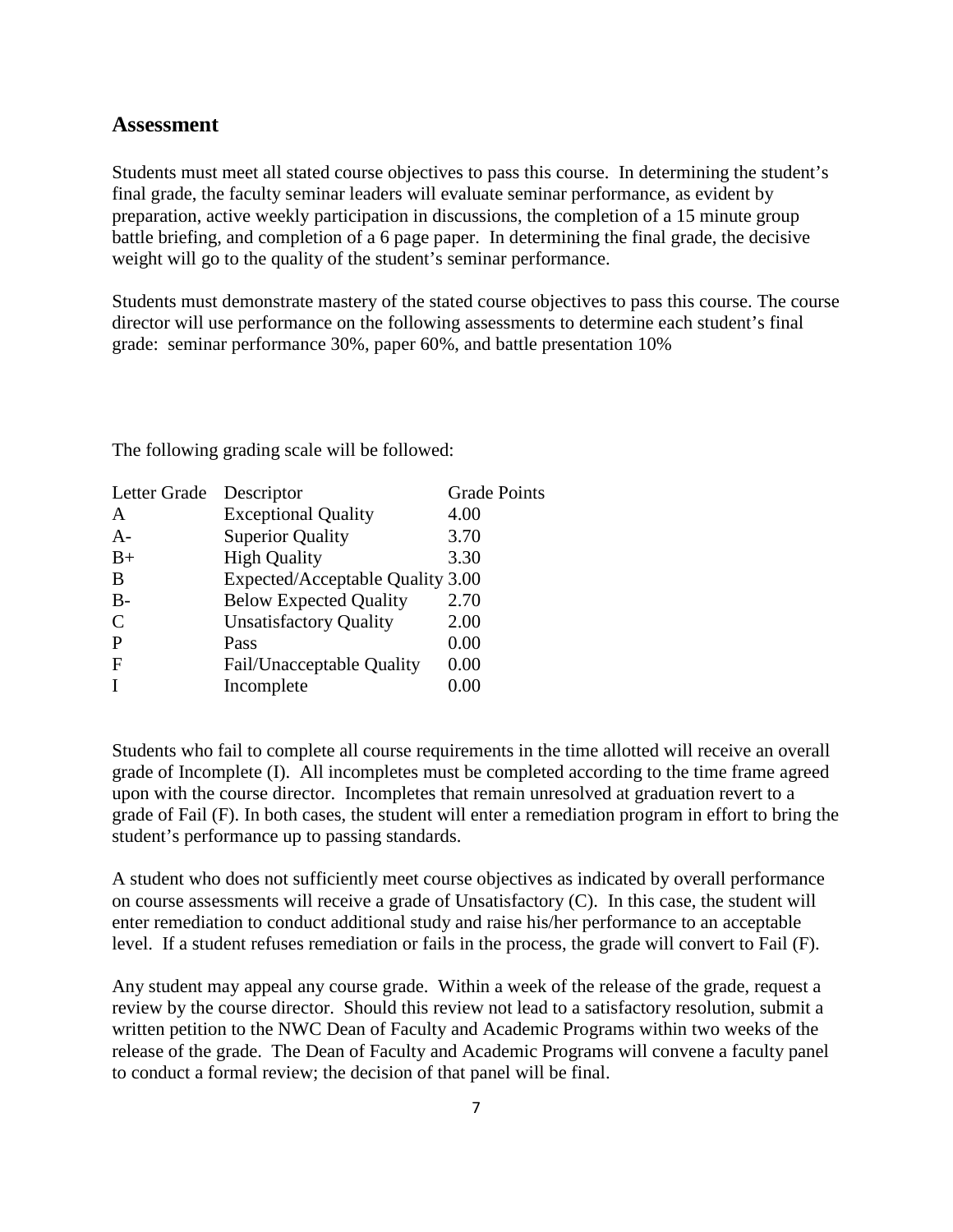### **Assessment**

Students must meet all stated course objectives to pass this course. In determining the student's final grade, the faculty seminar leaders will evaluate seminar performance, as evident by preparation, active weekly participation in discussions, the completion of a 15 minute group battle briefing, and completion of a 6 page paper. In determining the final grade, the decisive weight will go to the quality of the student's seminar performance.

Students must demonstrate mastery of the stated course objectives to pass this course. The course director will use performance on the following assessments to determine each student's final grade: seminar performance 30%, paper 60%, and battle presentation 10%

The following grading scale will be followed:

| Letter Grade  | Descriptor                       | <b>Grade Points</b> |
|---------------|----------------------------------|---------------------|
| A             | <b>Exceptional Quality</b>       | 4.00                |
| $A-$          | <b>Superior Quality</b>          | 3.70                |
| $B+$          | <b>High Quality</b>              | 3.30                |
| B             | Expected/Acceptable Quality 3.00 |                     |
| $B -$         | <b>Below Expected Quality</b>    | 2.70                |
| $\mathcal{C}$ | <b>Unsatisfactory Quality</b>    | 2.00                |
| P             | Pass                             | 0.00                |
| $\mathbf F$   | Fail/Unacceptable Quality        | 0.00                |
|               | Incomplete                       | 0.00                |
|               |                                  |                     |

Students who fail to complete all course requirements in the time allotted will receive an overall grade of Incomplete (I). All incompletes must be completed according to the time frame agreed upon with the course director. Incompletes that remain unresolved at graduation revert to a grade of Fail (F). In both cases, the student will enter a remediation program in effort to bring the student's performance up to passing standards.

A student who does not sufficiently meet course objectives as indicated by overall performance on course assessments will receive a grade of Unsatisfactory (C). In this case, the student will enter remediation to conduct additional study and raise his/her performance to an acceptable level. If a student refuses remediation or fails in the process, the grade will convert to Fail (F).

Any student may appeal any course grade. Within a week of the release of the grade, request a review by the course director. Should this review not lead to a satisfactory resolution, submit a written petition to the NWC Dean of Faculty and Academic Programs within two weeks of the release of the grade. The Dean of Faculty and Academic Programs will convene a faculty panel to conduct a formal review; the decision of that panel will be final.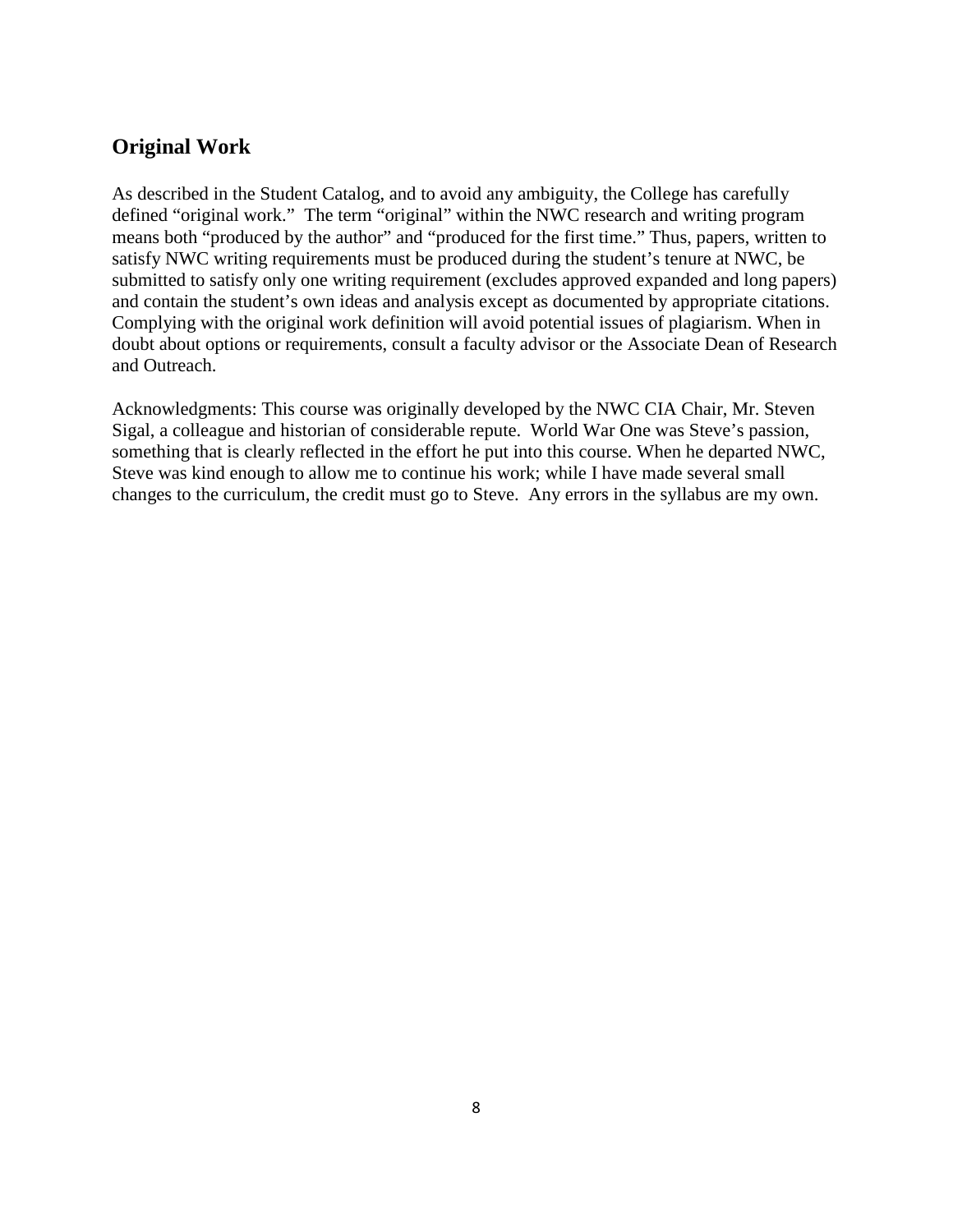# **Original Work**

As described in the Student Catalog, and to avoid any ambiguity, the College has carefully defined "original work." The term "original" within the NWC research and writing program means both "produced by the author" and "produced for the first time." Thus, papers, written to satisfy NWC writing requirements must be produced during the student's tenure at NWC, be submitted to satisfy only one writing requirement (excludes approved expanded and long papers) and contain the student's own ideas and analysis except as documented by appropriate citations. Complying with the original work definition will avoid potential issues of plagiarism. When in doubt about options or requirements, consult a faculty advisor or the Associate Dean of Research and Outreach.

Acknowledgments: This course was originally developed by the NWC CIA Chair, Mr. Steven Sigal, a colleague and historian of considerable repute. World War One was Steve's passion, something that is clearly reflected in the effort he put into this course. When he departed NWC, Steve was kind enough to allow me to continue his work; while I have made several small changes to the curriculum, the credit must go to Steve. Any errors in the syllabus are my own.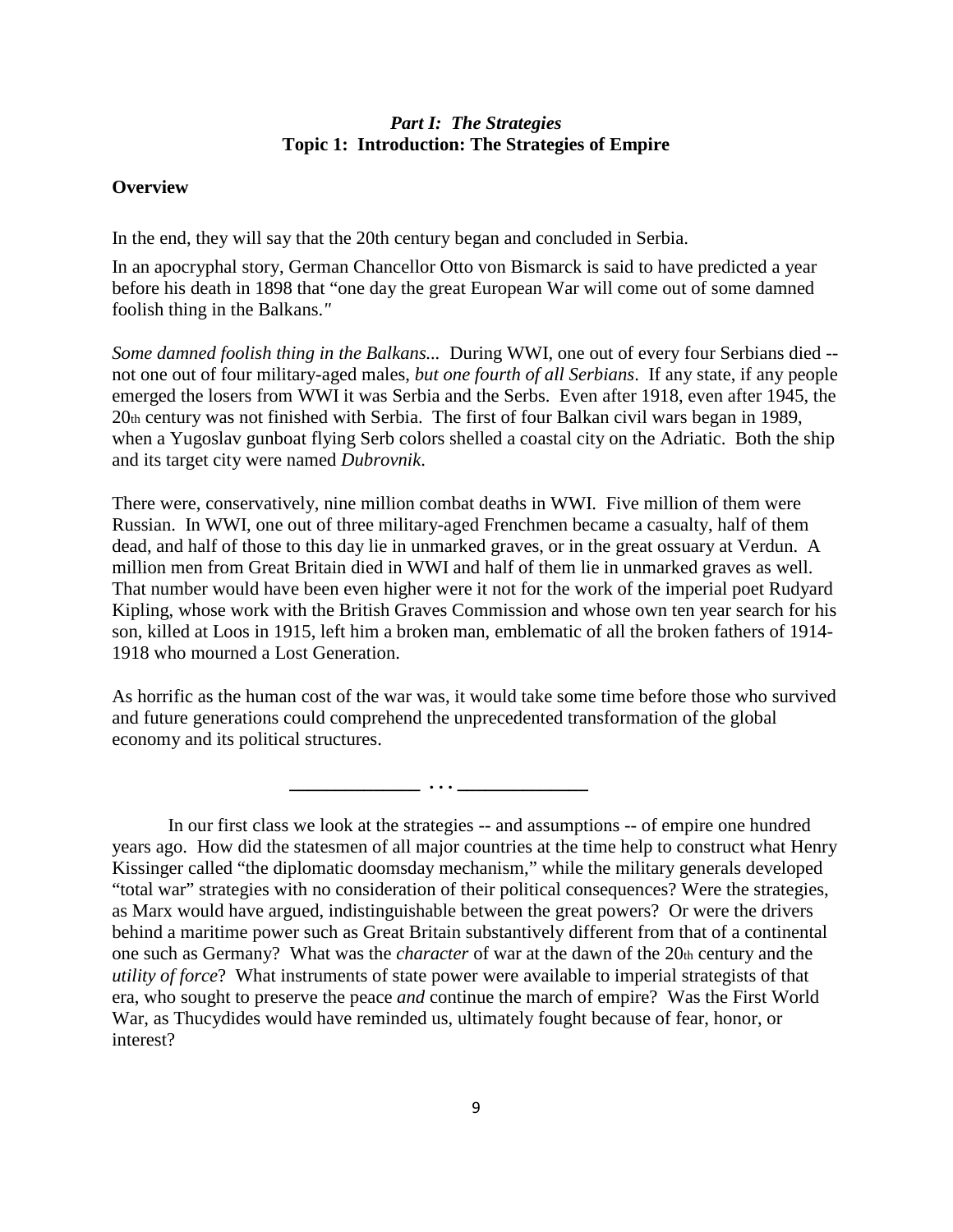#### *Part I: The Strategies* **Topic 1: Introduction: The Strategies of Empire**

#### **Overview**

In the end, they will say that the 20th century began and concluded in Serbia.

In an apocryphal story, German Chancellor Otto von Bismarck is said to have predicted a year before his death in 1898 that "one day the great European War will come out of some damned foolish thing in the Balkans.*"*

*Some damned foolish thing in the Balkans...* During WWI, one out of every four Serbians died - not one out of four military-aged males, *but one fourth of all Serbians*. If any state, if any people emerged the losers from WWI it was Serbia and the Serbs. Even after 1918, even after 1945, the 20th century was not finished with Serbia. The first of four Balkan civil wars began in 1989, when a Yugoslav gunboat flying Serb colors shelled a coastal city on the Adriatic. Both the ship and its target city were named *Dubrovnik*.

There were, conservatively, nine million combat deaths in WWI. Five million of them were Russian. In WWI, one out of three military-aged Frenchmen became a casualty, half of them dead, and half of those to this day lie in unmarked graves, or in the great ossuary at Verdun. A million men from Great Britain died in WWI and half of them lie in unmarked graves as well. That number would have been even higher were it not for the work of the imperial poet Rudyard Kipling, whose work with the British Graves Commission and whose own ten year search for his son, killed at Loos in 1915, left him a broken man, emblematic of all the broken fathers of 1914- 1918 who mourned a Lost Generation.

As horrific as the human cost of the war was, it would take some time before those who survived and future generations could comprehend the unprecedented transformation of the global economy and its political structures.

 **\_\_\_\_\_\_\_\_\_\_\_\_\_\_ . . . \_\_\_\_\_\_\_\_\_\_\_\_\_\_**

In our first class we look at the strategies -- and assumptions -- of empire one hundred years ago. How did the statesmen of all major countries at the time help to construct what Henry Kissinger called "the diplomatic doomsday mechanism," while the military generals developed "total war" strategies with no consideration of their political consequences? Were the strategies, as Marx would have argued, indistinguishable between the great powers? Or were the drivers behind a maritime power such as Great Britain substantively different from that of a continental one such as Germany? What was the *character* of war at the dawn of the 20th century and the *utility of force*? What instruments of state power were available to imperial strategists of that era, who sought to preserve the peace *and* continue the march of empire? Was the First World War, as Thucydides would have reminded us, ultimately fought because of fear, honor, or interest?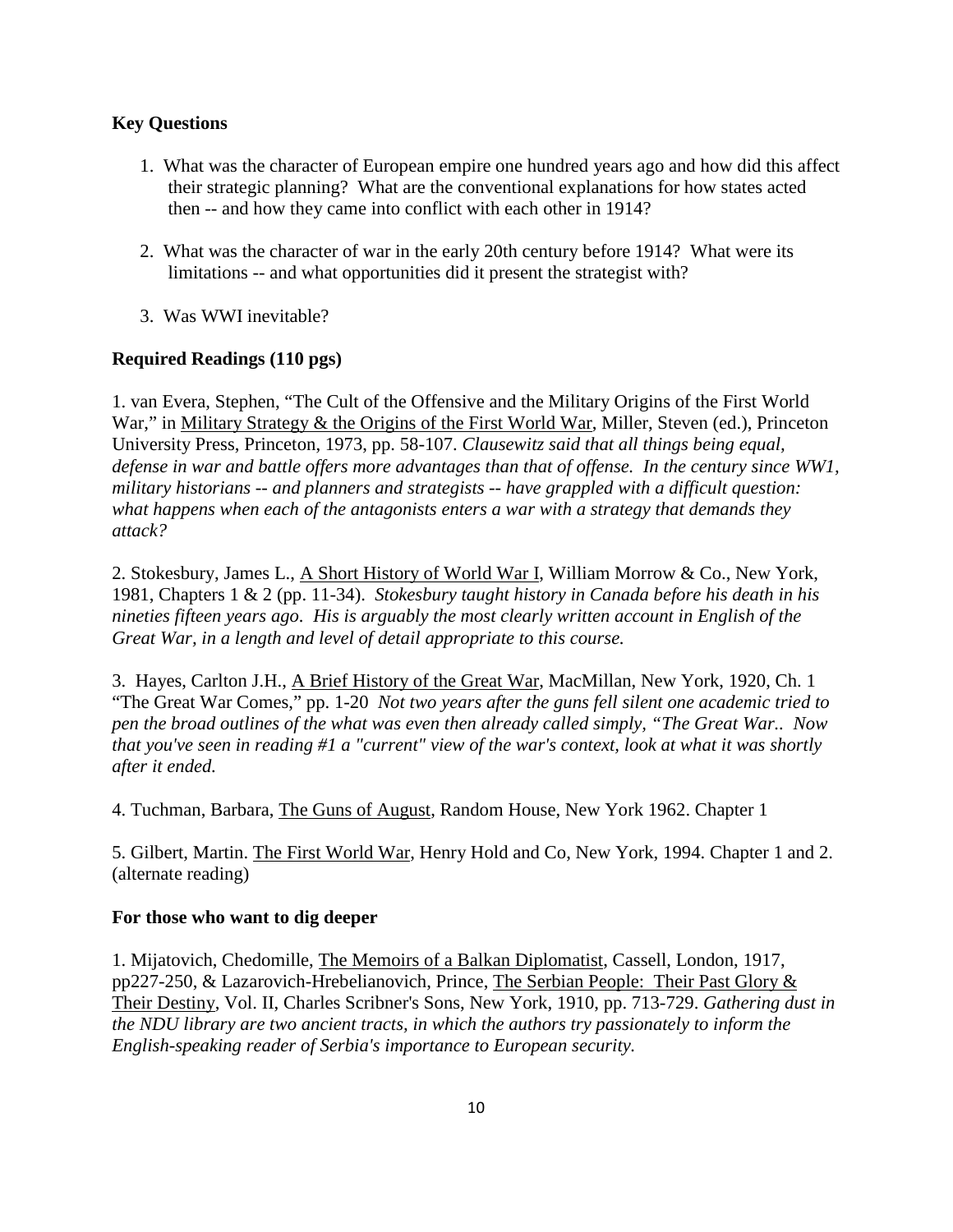#### **Key Questions**

- 1. What was the character of European empire one hundred years ago and how did this affect their strategic planning? What are the conventional explanations for how states acted then -- and how they came into conflict with each other in 1914?
- 2. What was the character of war in the early 20th century before 1914? What were its limitations -- and what opportunities did it present the strategist with?
- 3. Was WWI inevitable?

# **Required Readings (110 pgs)**

1. van Evera, Stephen, "The Cult of the Offensive and the Military Origins of the First World War," in Military Strategy & the Origins of the First World War, Miller, Steven (ed.), Princeton University Press, Princeton, 1973, pp. 58-107. *Clausewitz said that all things being equal, defense in war and battle offers more advantages than that of offense. In the century since WW1, military historians -- and planners and strategists -- have grappled with a difficult question: what happens when each of the antagonists enters a war with a strategy that demands they attack?*

2. Stokesbury, James L., A Short History of World War I, William Morrow & Co., New York, 1981, Chapters 1 & 2 (pp. 11-34). *Stokesbury taught history in Canada before his death in his nineties fifteen years ago. His is arguably the most clearly written account in English of the Great War, in a length and level of detail appropriate to this course.*

3. Hayes, Carlton J.H., A Brief History of the Great War, MacMillan, New York, 1920, Ch. 1 "The Great War Comes," pp. 1-20 *Not two years after the guns fell silent one academic tried to pen the broad outlines of the what was even then already called simply, "The Great War.. Now that you've seen in reading #1 a "current" view of the war's context, look at what it was shortly after it ended.*

4. Tuchman, Barbara, The Guns of August, Random House, New York 1962. Chapter 1

5. Gilbert, Martin. The First World War, Henry Hold and Co, New York, 1994. Chapter 1 and 2. (alternate reading)

#### **For those who want to dig deeper**

1. Mijatovich, Chedomille, The Memoirs of a Balkan Diplomatist, Cassell, London, 1917, pp227-250, & Lazarovich-Hrebelianovich, Prince, The Serbian People: Their Past Glory & Their Destiny, Vol. II, Charles Scribner's Sons, New York, 1910, pp. 713-729. *Gathering dust in the NDU library are two ancient tracts, in which the authors try passionately to inform the English-speaking reader of Serbia's importance to European security.*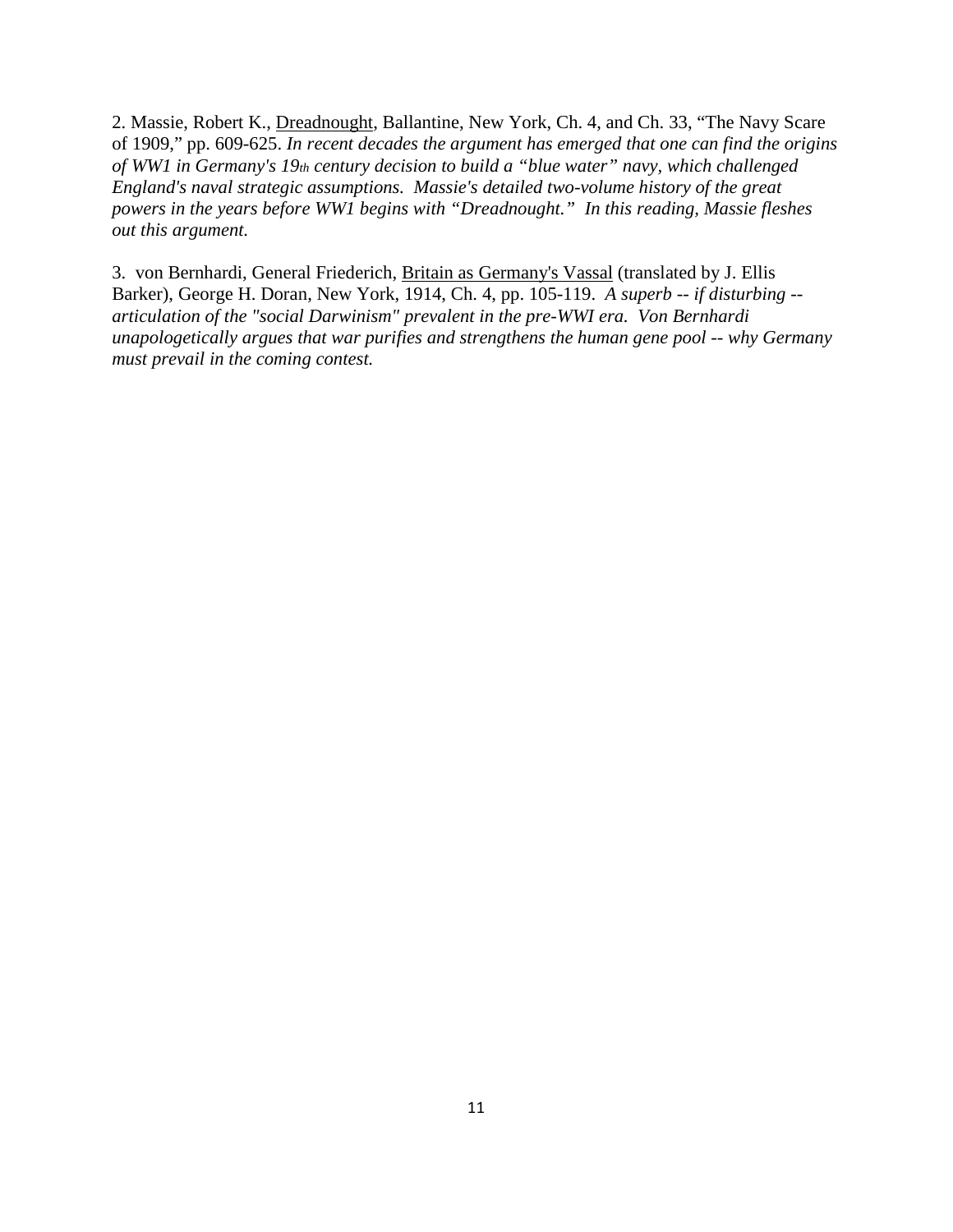2. Massie, Robert K., Dreadnought, Ballantine, New York, Ch. 4, and Ch. 33, "The Navy Scare of 1909," pp. 609-625. *In recent decades the argument has emerged that one can find the origins of WW1 in Germany's 19th century decision to build a "blue water" navy, which challenged England's naval strategic assumptions. Massie's detailed two-volume history of the great powers in the years before WW1 begins with "Dreadnought." In this reading, Massie fleshes out this argument.*

3. von Bernhardi, General Friederich, Britain as Germany's Vassal (translated by J. Ellis Barker), George H. Doran, New York, 1914, Ch. 4, pp. 105-119. *A superb -- if disturbing - articulation of the "social Darwinism" prevalent in the pre-WWI era. Von Bernhardi unapologetically argues that war purifies and strengthens the human gene pool -- why Germany must prevail in the coming contest.*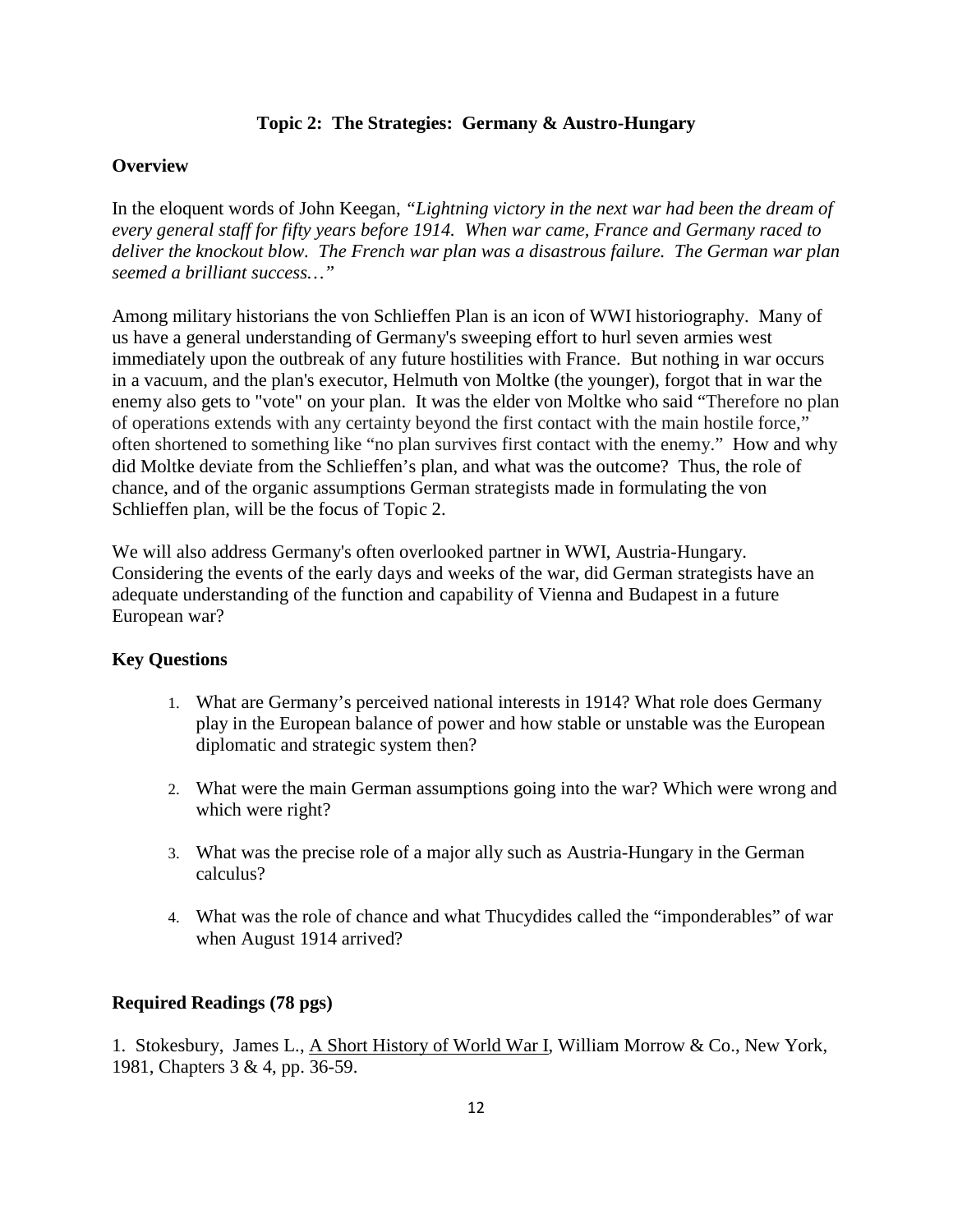#### **Topic 2: The Strategies: Germany & Austro-Hungary**

#### **Overview**

In the eloquent words of John Keegan, *"Lightning victory in the next war had been the dream of every general staff for fifty years before 1914. When war came, France and Germany raced to deliver the knockout blow. The French war plan was a disastrous failure. The German war plan seemed a brilliant success…"*

Among military historians the von Schlieffen Plan is an icon of WWI historiography. Many of us have a general understanding of Germany's sweeping effort to hurl seven armies west immediately upon the outbreak of any future hostilities with France. But nothing in war occurs in a vacuum, and the plan's executor, Helmuth von Moltke (the younger), forgot that in war the enemy also gets to "vote" on your plan. It was the elder von Moltke who said "Therefore no plan of operations extends with any certainty beyond the first contact with the main hostile force," often shortened to something like "no plan survives first contact with the enemy." How and why did Moltke deviate from the Schlieffen's plan, and what was the outcome? Thus, the role of chance, and of the organic assumptions German strategists made in formulating the von Schlieffen plan, will be the focus of Topic 2.

We will also address Germany's often overlooked partner in WWI, Austria-Hungary. Considering the events of the early days and weeks of the war, did German strategists have an adequate understanding of the function and capability of Vienna and Budapest in a future European war?

#### **Key Questions**

- 1. What are Germany's perceived national interests in 1914? What role does Germany play in the European balance of power and how stable or unstable was the European diplomatic and strategic system then?
- 2. What were the main German assumptions going into the war? Which were wrong and which were right?
- 3. What was the precise role of a major ally such as Austria-Hungary in the German calculus?
- 4. What was the role of chance and what Thucydides called the "imponderables" of war when August 1914 arrived?

# **Required Readings (78 pgs)**

1. Stokesbury, James L., A Short History of World War I, William Morrow & Co., New York, 1981, Chapters 3 & 4, pp. 36-59.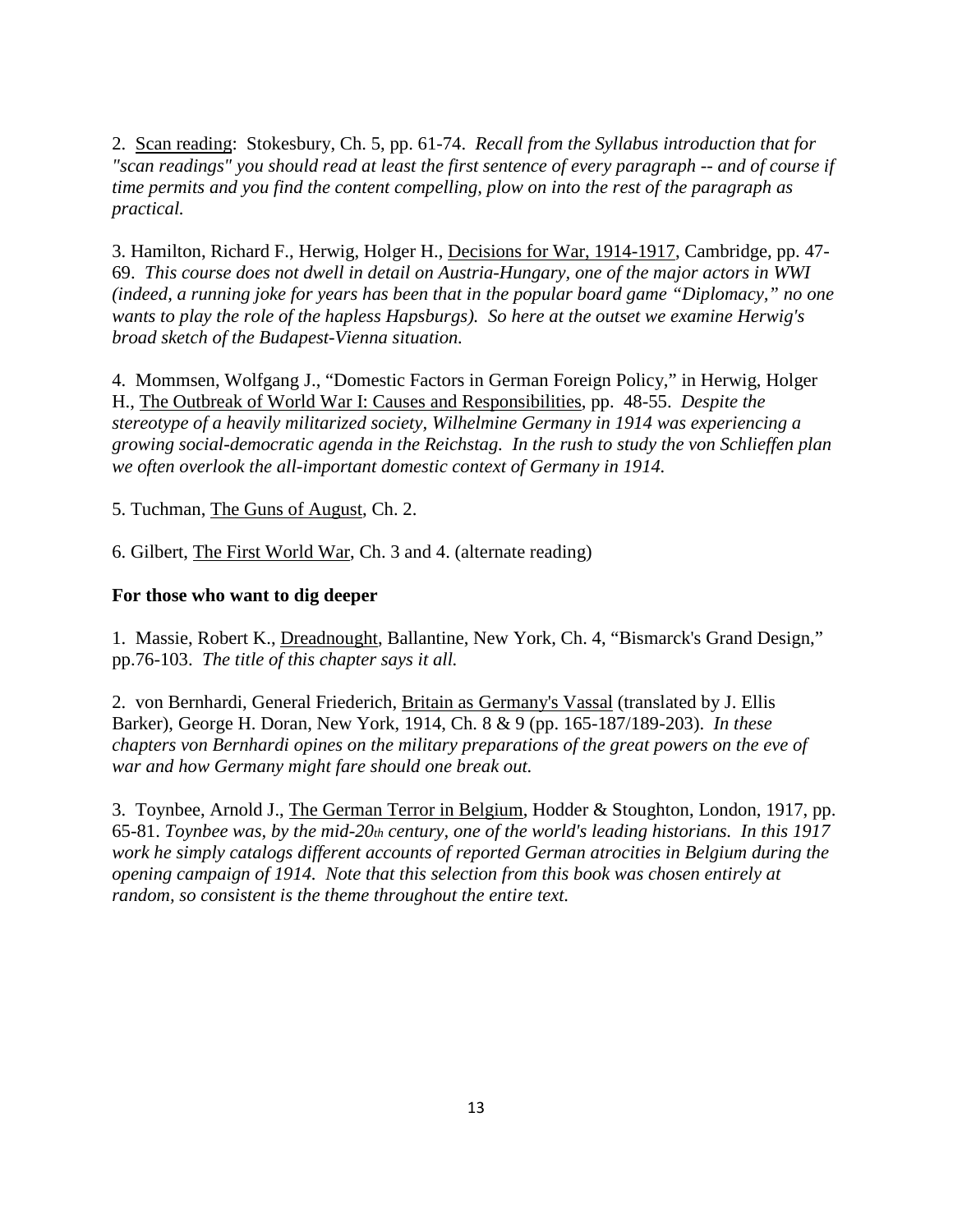2. Scan reading: Stokesbury, Ch. 5, pp. 61-74. *Recall from the Syllabus introduction that for "scan readings" you should read at least the first sentence of every paragraph -- and of course if time permits and you find the content compelling, plow on into the rest of the paragraph as practical.*

3. Hamilton, Richard F., Herwig, Holger H., Decisions for War, 1914-1917, Cambridge, pp. 47- 69. *This course does not dwell in detail on Austria-Hungary, one of the major actors in WWI (indeed, a running joke for years has been that in the popular board game "Diplomacy," no one wants to play the role of the hapless Hapsburgs). So here at the outset we examine Herwig's broad sketch of the Budapest-Vienna situation.*

4. Mommsen, Wolfgang J., "Domestic Factors in German Foreign Policy," in Herwig, Holger H., The Outbreak of World War I: Causes and Responsibilities, pp. 48-55. *Despite the stereotype of a heavily militarized society, Wilhelmine Germany in 1914 was experiencing a growing social-democratic agenda in the Reichstag. In the rush to study the von Schlieffen plan we often overlook the all-important domestic context of Germany in 1914.*

5. Tuchman, The Guns of August, Ch. 2.

6. Gilbert, The First World War, Ch. 3 and 4. (alternate reading)

#### **For those who want to dig deeper**

1. Massie, Robert K., Dreadnought, Ballantine, New York, Ch. 4, "Bismarck's Grand Design," pp.76-103. *The title of this chapter says it all.*

2. von Bernhardi, General Friederich, Britain as Germany's Vassal (translated by J. Ellis Barker), George H. Doran, New York, 1914, Ch. 8 & 9 (pp. 165-187/189-203). *In these chapters von Bernhardi opines on the military preparations of the great powers on the eve of war and how Germany might fare should one break out.* 

3. Toynbee, Arnold J., The German Terror in Belgium, Hodder & Stoughton, London, 1917, pp. 65-81. *Toynbee was, by the mid-20th century, one of the world's leading historians. In this 1917 work he simply catalogs different accounts of reported German atrocities in Belgium during the opening campaign of 1914. Note that this selection from this book was chosen entirely at random, so consistent is the theme throughout the entire text.*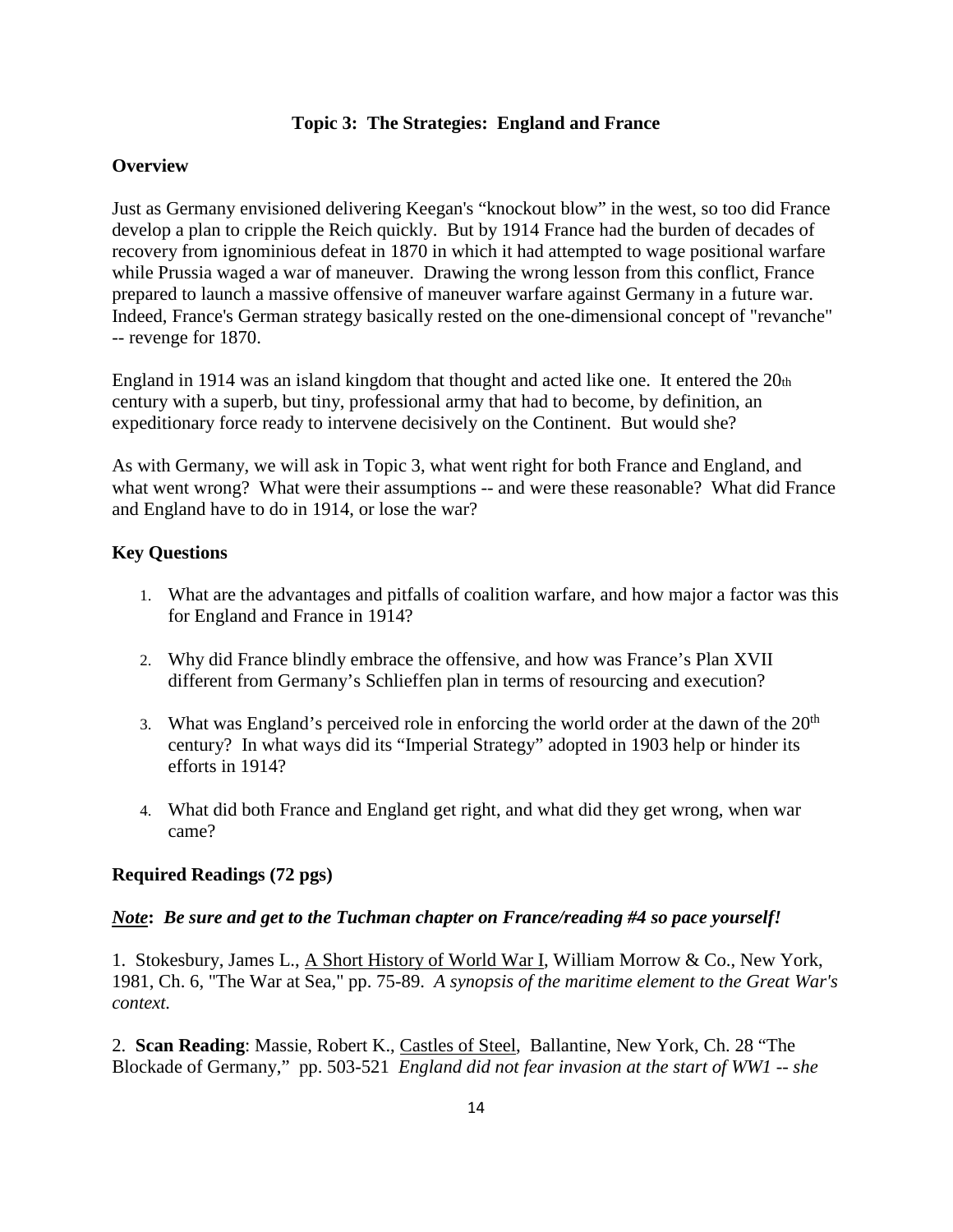#### **Topic 3: The Strategies: England and France**

#### **Overview**

Just as Germany envisioned delivering Keegan's "knockout blow" in the west, so too did France develop a plan to cripple the Reich quickly. But by 1914 France had the burden of decades of recovery from ignominious defeat in 1870 in which it had attempted to wage positional warfare while Prussia waged a war of maneuver. Drawing the wrong lesson from this conflict, France prepared to launch a massive offensive of maneuver warfare against Germany in a future war. Indeed, France's German strategy basically rested on the one-dimensional concept of "revanche" -- revenge for 1870.

England in 1914 was an island kingdom that thought and acted like one. It entered the 20th century with a superb, but tiny, professional army that had to become, by definition, an expeditionary force ready to intervene decisively on the Continent. But would she?

As with Germany, we will ask in Topic 3, what went right for both France and England, and what went wrong? What were their assumptions -- and were these reasonable? What did France and England have to do in 1914, or lose the war?

#### **Key Questions**

- 1. What are the advantages and pitfalls of coalition warfare, and how major a factor was this for England and France in 1914?
- 2. Why did France blindly embrace the offensive, and how was France's Plan XVII different from Germany's Schlieffen plan in terms of resourcing and execution?
- 3. What was England's perceived role in enforcing the world order at the dawn of the  $20<sup>th</sup>$ century? In what ways did its "Imperial Strategy" adopted in 1903 help or hinder its efforts in 1914?
- 4. What did both France and England get right, and what did they get wrong, when war came?

#### **Required Readings (72 pgs)**

#### *Note***:** *Be sure and get to the Tuchman chapter on France/reading #4 so pace yourself!*

1. Stokesbury, James L., A Short History of World War I, William Morrow & Co., New York, 1981, Ch. 6, "The War at Sea," pp. 75-89. *A synopsis of the maritime element to the Great War's context.* 

2. **Scan Reading**: Massie, Robert K., Castles of Steel, Ballantine, New York, Ch. 28 "The Blockade of Germany," pp. 503-521 *England did not fear invasion at the start of WW1 -- she*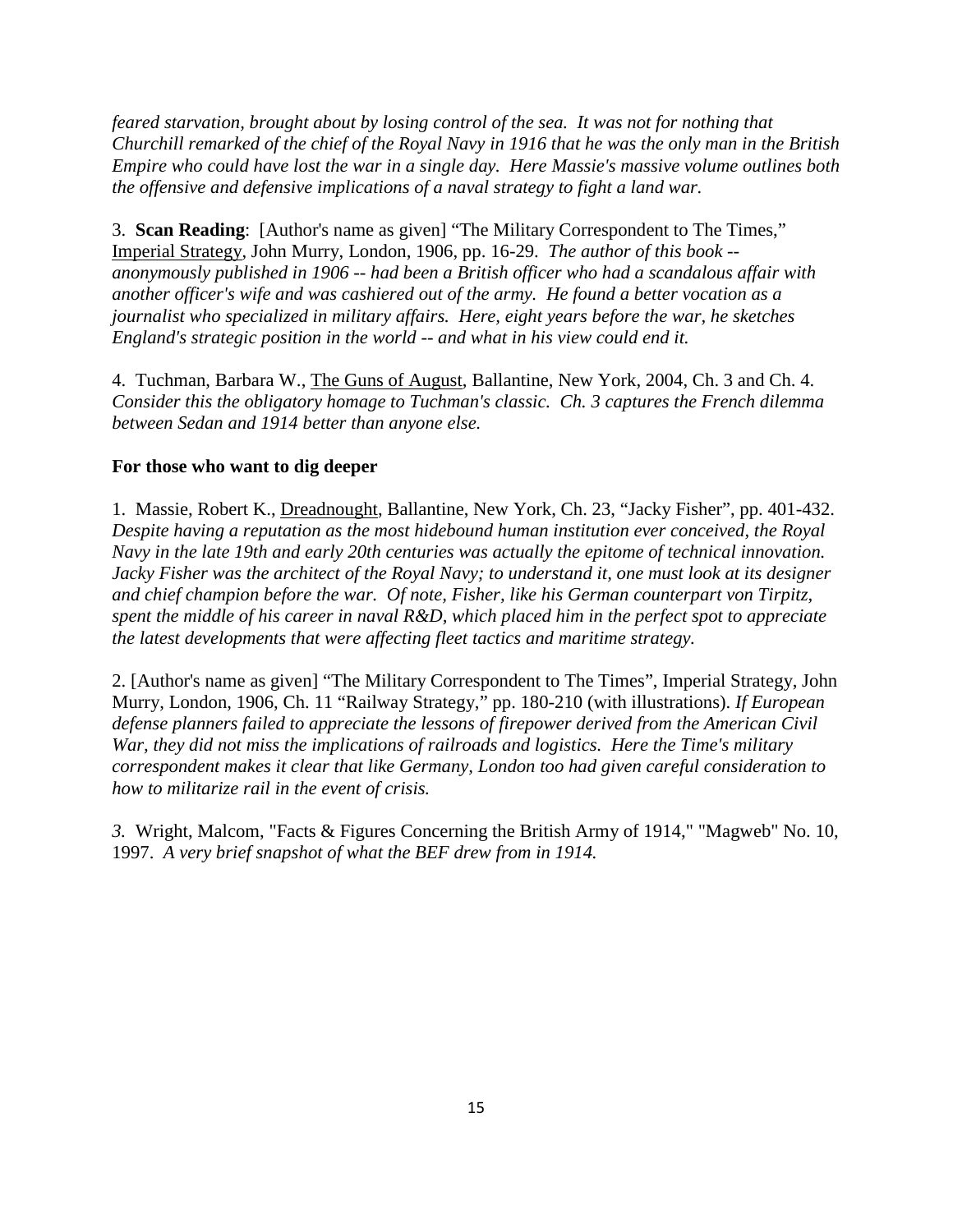*feared starvation, brought about by losing control of the sea. It was not for nothing that Churchill remarked of the chief of the Royal Navy in 1916 that he was the only man in the British Empire who could have lost the war in a single day. Here Massie's massive volume outlines both the offensive and defensive implications of a naval strategy to fight a land war.*

3. **Scan Reading**: [Author's name as given] "The Military Correspondent to The Times," Imperial Strategy, John Murry, London, 1906, pp. 16-29. *The author of this book - anonymously published in 1906 -- had been a British officer who had a scandalous affair with another officer's wife and was cashiered out of the army. He found a better vocation as a journalist who specialized in military affairs. Here, eight years before the war, he sketches England's strategic position in the world -- and what in his view could end it.*

4. Tuchman, Barbara W., The Guns of August, Ballantine, New York, 2004, Ch. 3 and Ch. 4. *Consider this the obligatory homage to Tuchman's classic. Ch. 3 captures the French dilemma between Sedan and 1914 better than anyone else.*

#### **For those who want to dig deeper**

1. Massie, Robert K., Dreadnought, Ballantine, New York, Ch. 23, "Jacky Fisher", pp. 401-432. *Despite having a reputation as the most hidebound human institution ever conceived, the Royal Navy in the late 19th and early 20th centuries was actually the epitome of technical innovation. Jacky Fisher was the architect of the Royal Navy; to understand it, one must look at its designer and chief champion before the war. Of note, Fisher, like his German counterpart von Tirpitz, spent the middle of his career in naval R&D, which placed him in the perfect spot to appreciate the latest developments that were affecting fleet tactics and maritime strategy.*

2. [Author's name as given] "The Military Correspondent to The Times", Imperial Strategy, John Murry, London, 1906, Ch. 11 "Railway Strategy," pp. 180-210 (with illustrations). *If European defense planners failed to appreciate the lessons of firepower derived from the American Civil War, they did not miss the implications of railroads and logistics. Here the Time's military correspondent makes it clear that like Germany, London too had given careful consideration to how to militarize rail in the event of crisis.*

*3.* Wright, Malcom, "Facts & Figures Concerning the British Army of 1914," "Magweb" No. 10, 1997. *A very brief snapshot of what the BEF drew from in 1914.*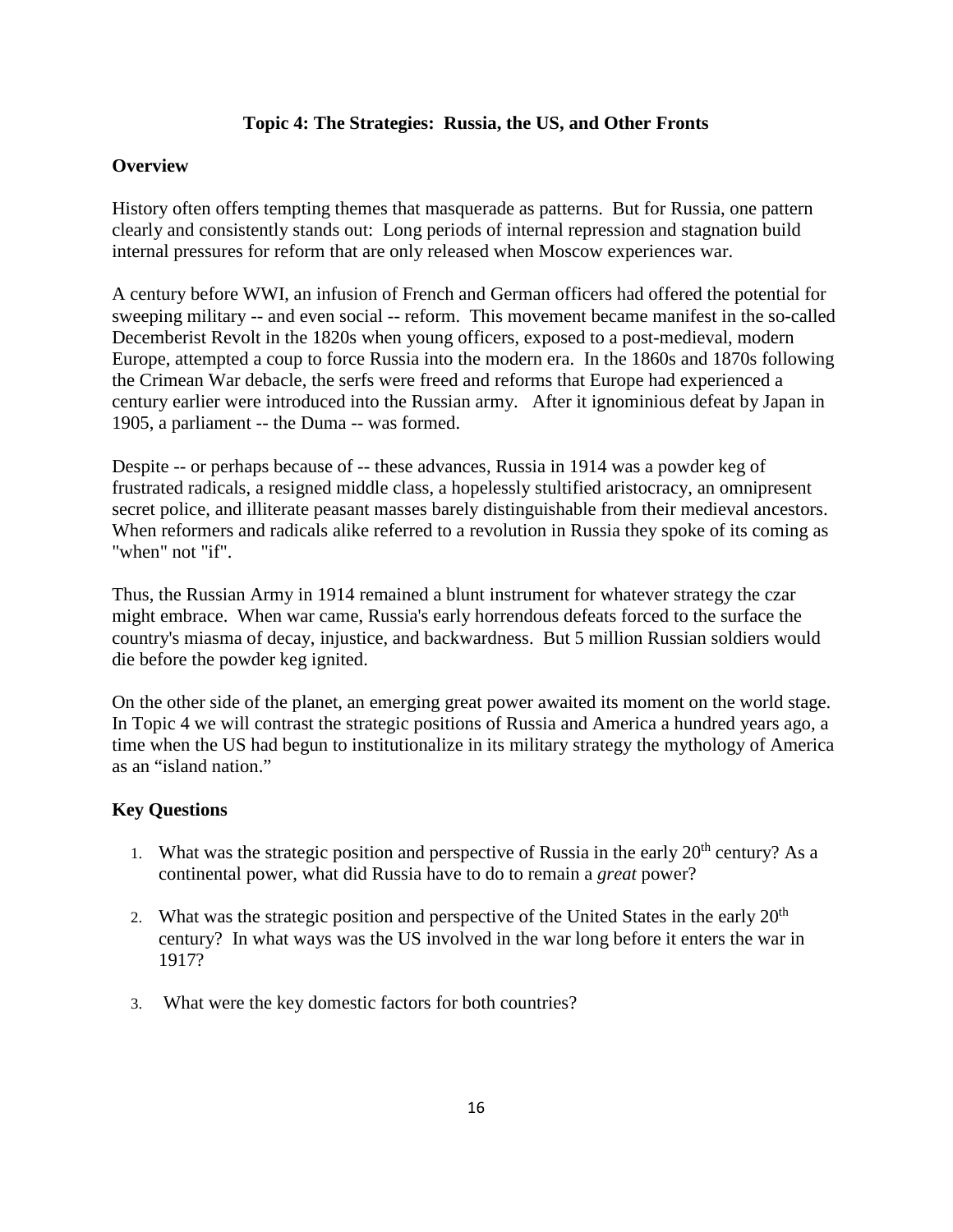# **Topic 4: The Strategies: Russia, the US, and Other Fronts**

#### **Overview**

History often offers tempting themes that masquerade as patterns. But for Russia, one pattern clearly and consistently stands out: Long periods of internal repression and stagnation build internal pressures for reform that are only released when Moscow experiences war.

A century before WWI, an infusion of French and German officers had offered the potential for sweeping military -- and even social -- reform. This movement became manifest in the so-called Decemberist Revolt in the 1820s when young officers, exposed to a post-medieval, modern Europe, attempted a coup to force Russia into the modern era. In the 1860s and 1870s following the Crimean War debacle, the serfs were freed and reforms that Europe had experienced a century earlier were introduced into the Russian army. After it ignominious defeat by Japan in 1905, a parliament -- the Duma -- was formed.

Despite -- or perhaps because of -- these advances, Russia in 1914 was a powder keg of frustrated radicals, a resigned middle class, a hopelessly stultified aristocracy, an omnipresent secret police, and illiterate peasant masses barely distinguishable from their medieval ancestors. When reformers and radicals alike referred to a revolution in Russia they spoke of its coming as "when" not "if".

Thus, the Russian Army in 1914 remained a blunt instrument for whatever strategy the czar might embrace. When war came, Russia's early horrendous defeats forced to the surface the country's miasma of decay, injustice, and backwardness. But 5 million Russian soldiers would die before the powder keg ignited.

On the other side of the planet, an emerging great power awaited its moment on the world stage. In Topic 4 we will contrast the strategic positions of Russia and America a hundred years ago, a time when the US had begun to institutionalize in its military strategy the mythology of America as an "island nation."

# **Key Questions**

- 1. What was the strategic position and perspective of Russia in the early  $20<sup>th</sup>$  century? As a continental power, what did Russia have to do to remain a *great* power?
- 2. What was the strategic position and perspective of the United States in the early  $20<sup>th</sup>$ century? In what ways was the US involved in the war long before it enters the war in 1917?
- 3. What were the key domestic factors for both countries?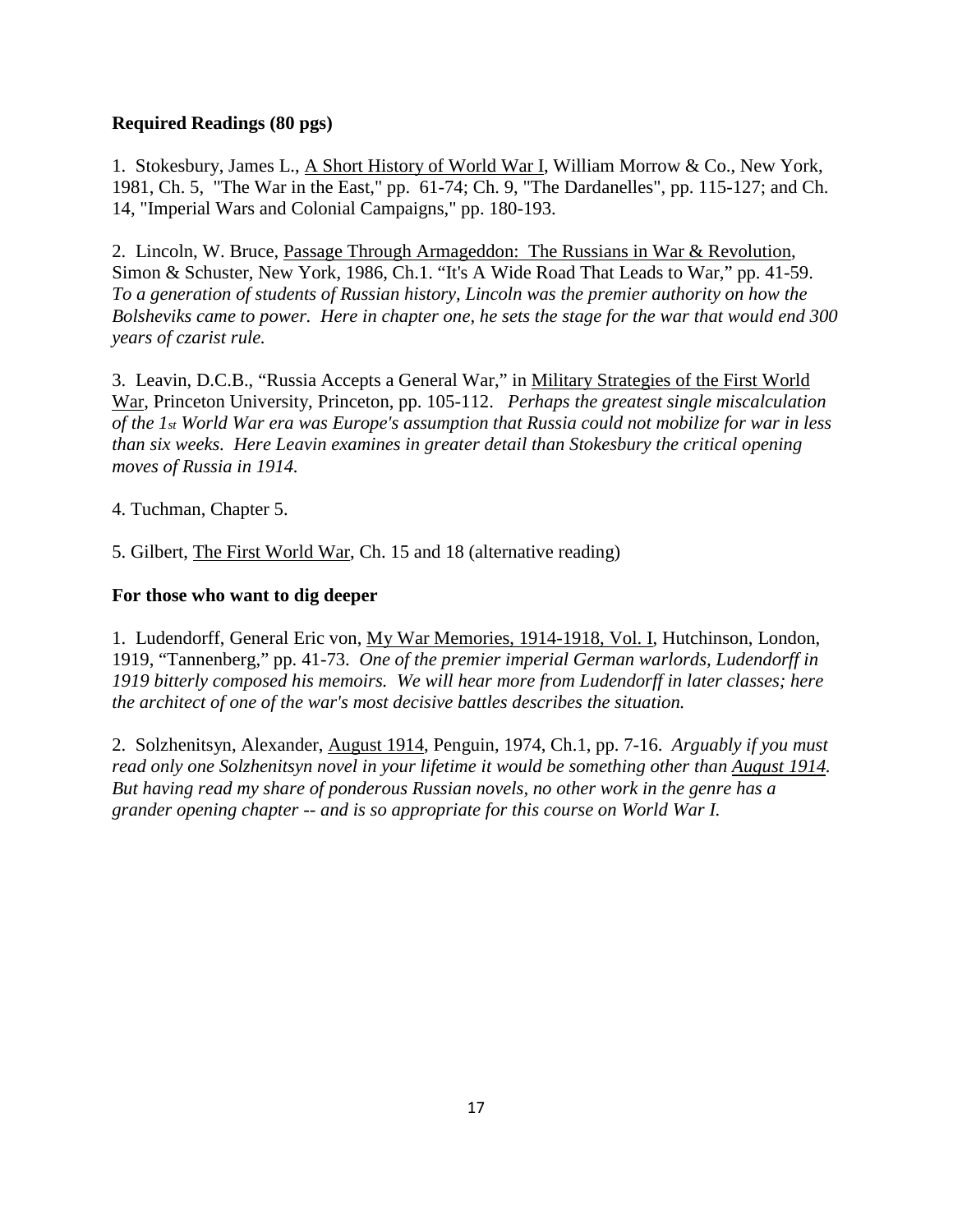# **Required Readings (80 pgs)**

1. Stokesbury, James L., A Short History of World War I, William Morrow & Co., New York, 1981, Ch. 5, "The War in the East," pp. 61-74; Ch. 9, "The Dardanelles", pp. 115-127; and Ch. 14, "Imperial Wars and Colonial Campaigns," pp. 180-193.

2. Lincoln, W. Bruce, Passage Through Armageddon: The Russians in War & Revolution, Simon & Schuster, New York, 1986, Ch.1. "It's A Wide Road That Leads to War," pp. 41-59. *To a generation of students of Russian history, Lincoln was the premier authority on how the Bolsheviks came to power. Here in chapter one, he sets the stage for the war that would end 300 years of czarist rule.*

3. Leavin, D.C.B., "Russia Accepts a General War," in Military Strategies of the First World War, Princeton University, Princeton, pp. 105-112. *Perhaps the greatest single miscalculation of the 1st World War era was Europe's assumption that Russia could not mobilize for war in less than six weeks. Here Leavin examines in greater detail than Stokesbury the critical opening moves of Russia in 1914.*

4. Tuchman, Chapter 5.

5. Gilbert, The First World War, Ch. 15 and 18 (alternative reading)

# **For those who want to dig deeper**

1. Ludendorff, General Eric von, My War Memories, 1914-1918, Vol. I, Hutchinson, London, 1919, "Tannenberg," pp. 41-73. *One of the premier imperial German warlords, Ludendorff in 1919 bitterly composed his memoirs. We will hear more from Ludendorff in later classes; here the architect of one of the war's most decisive battles describes the situation.*

2. Solzhenitsyn, Alexander, August 1914, Penguin, 1974, Ch.1, pp. 7-16. *Arguably if you must read only one Solzhenitsyn novel in your lifetime it would be something other than August 1914. But having read my share of ponderous Russian novels, no other work in the genre has a grander opening chapter -- and is so appropriate for this course on World War I.*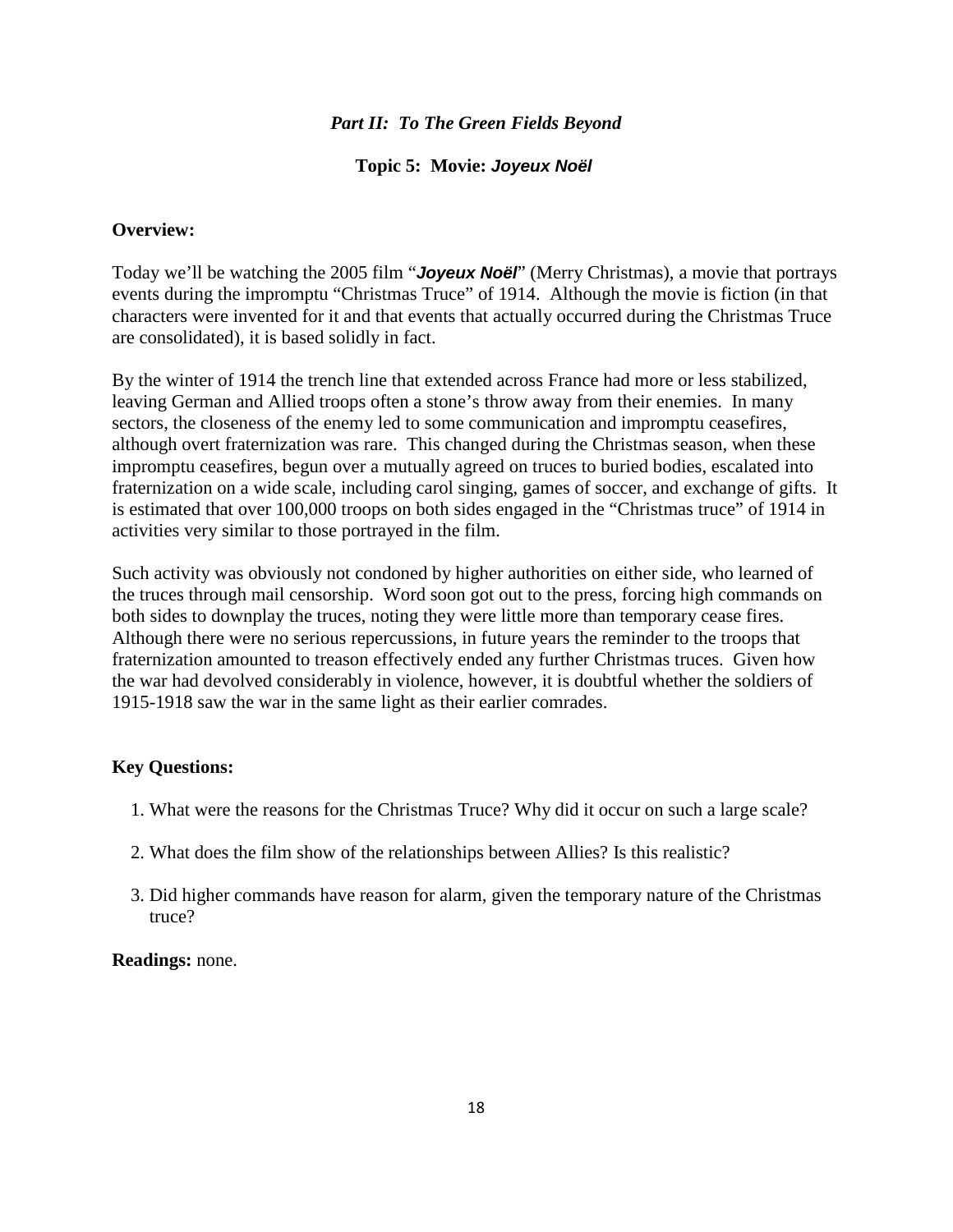#### *Part II: To The Green Fields Beyond*

#### **Topic 5: Movie:** *Joyeux Noël*

#### **Overview:**

Today we'll be watching the 2005 film "*Joyeux Noël*" (Merry Christmas), a movie that portrays events during the impromptu "Christmas Truce" of 1914. Although the movie is fiction (in that characters were invented for it and that events that actually occurred during the Christmas Truce are consolidated), it is based solidly in fact.

By the winter of 1914 the trench line that extended across France had more or less stabilized, leaving German and Allied troops often a stone's throw away from their enemies. In many sectors, the closeness of the enemy led to some communication and impromptu ceasefires, although overt fraternization was rare. This changed during the Christmas season, when these impromptu ceasefires, begun over a mutually agreed on truces to buried bodies, escalated into fraternization on a wide scale, including carol singing, games of soccer, and exchange of gifts. It is estimated that over 100,000 troops on both sides engaged in the "Christmas truce" of 1914 in activities very similar to those portrayed in the film.

Such activity was obviously not condoned by higher authorities on either side, who learned of the truces through mail censorship. Word soon got out to the press, forcing high commands on both sides to downplay the truces, noting they were little more than temporary cease fires. Although there were no serious repercussions, in future years the reminder to the troops that fraternization amounted to treason effectively ended any further Christmas truces. Given how the war had devolved considerably in violence, however, it is doubtful whether the soldiers of 1915-1918 saw the war in the same light as their earlier comrades.

#### **Key Questions:**

- 1. What were the reasons for the Christmas Truce? Why did it occur on such a large scale?
- 2. What does the film show of the relationships between Allies? Is this realistic?
- 3. Did higher commands have reason for alarm, given the temporary nature of the Christmas truce?

#### **Readings:** none.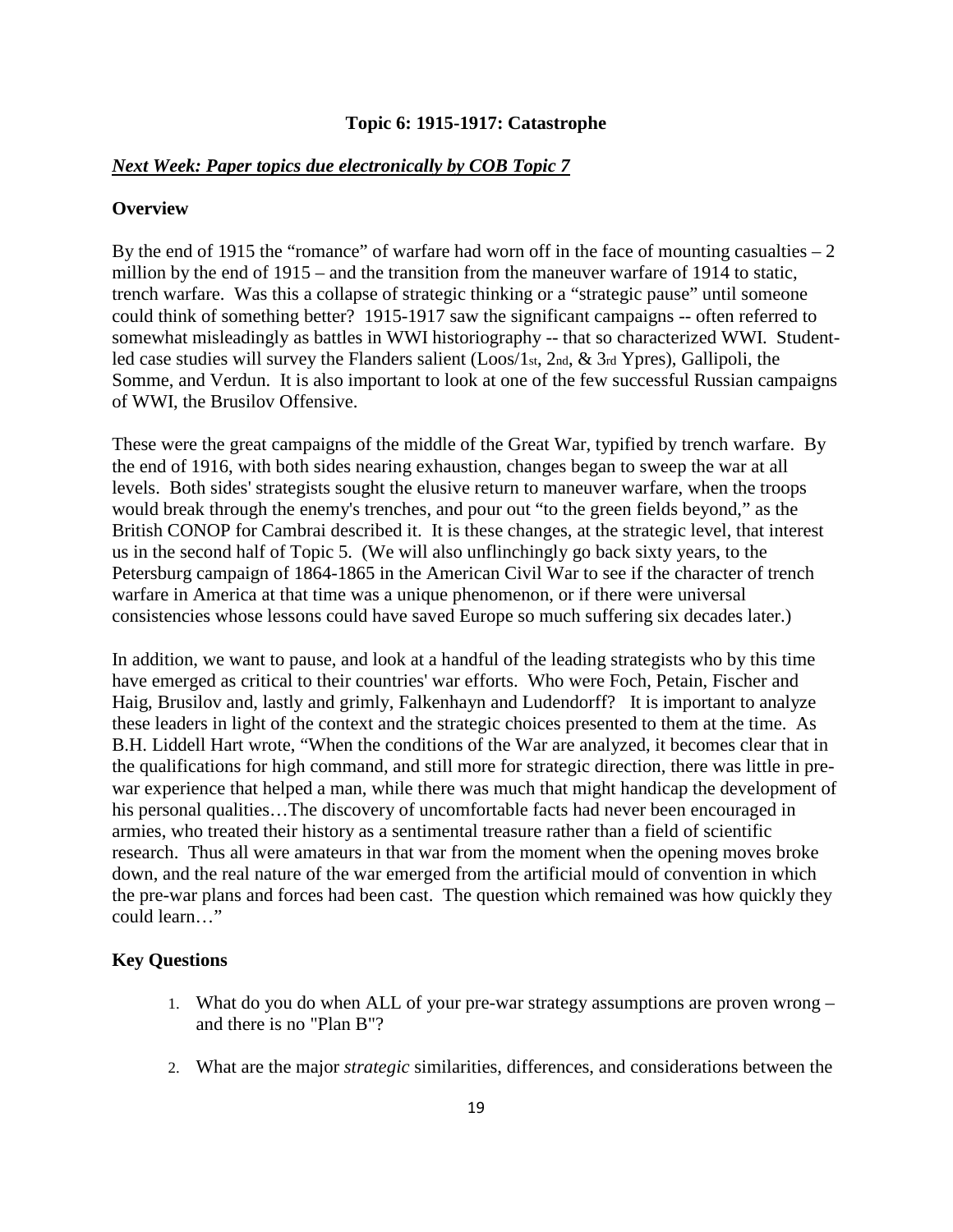#### **Topic 6: 1915-1917: Catastrophe**

#### *Next Week: Paper topics due electronically by COB Topic 7*

#### **Overview**

By the end of 1915 the "romance" of warfare had worn off in the face of mounting casualties  $-2$ million by the end of 1915 – and the transition from the maneuver warfare of 1914 to static, trench warfare. Was this a collapse of strategic thinking or a "strategic pause" until someone could think of something better? 1915-1917 saw the significant campaigns -- often referred to somewhat misleadingly as battles in WWI historiography -- that so characterized WWI. Studentled case studies will survey the Flanders salient (Loos/1st, 2nd, & 3rd Ypres), Gallipoli, the Somme, and Verdun. It is also important to look at one of the few successful Russian campaigns of WWI, the Brusilov Offensive.

These were the great campaigns of the middle of the Great War, typified by trench warfare. By the end of 1916, with both sides nearing exhaustion, changes began to sweep the war at all levels. Both sides' strategists sought the elusive return to maneuver warfare, when the troops would break through the enemy's trenches, and pour out "to the green fields beyond," as the British CONOP for Cambrai described it. It is these changes, at the strategic level, that interest us in the second half of Topic 5. (We will also unflinchingly go back sixty years, to the Petersburg campaign of 1864-1865 in the American Civil War to see if the character of trench warfare in America at that time was a unique phenomenon, or if there were universal consistencies whose lessons could have saved Europe so much suffering six decades later.)

In addition, we want to pause, and look at a handful of the leading strategists who by this time have emerged as critical to their countries' war efforts. Who were Foch, Petain, Fischer and Haig, Brusilov and, lastly and grimly, Falkenhayn and Ludendorff? It is important to analyze these leaders in light of the context and the strategic choices presented to them at the time. As B.H. Liddell Hart wrote, "When the conditions of the War are analyzed, it becomes clear that in the qualifications for high command, and still more for strategic direction, there was little in prewar experience that helped a man, while there was much that might handicap the development of his personal qualities…The discovery of uncomfortable facts had never been encouraged in armies, who treated their history as a sentimental treasure rather than a field of scientific research. Thus all were amateurs in that war from the moment when the opening moves broke down, and the real nature of the war emerged from the artificial mould of convention in which the pre-war plans and forces had been cast. The question which remained was how quickly they could learn…"

#### **Key Questions**

- 1. What do you do when ALL of your pre-war strategy assumptions are proven wrong and there is no "Plan B"?
- 2. What are the major *strategic* similarities, differences, and considerations between the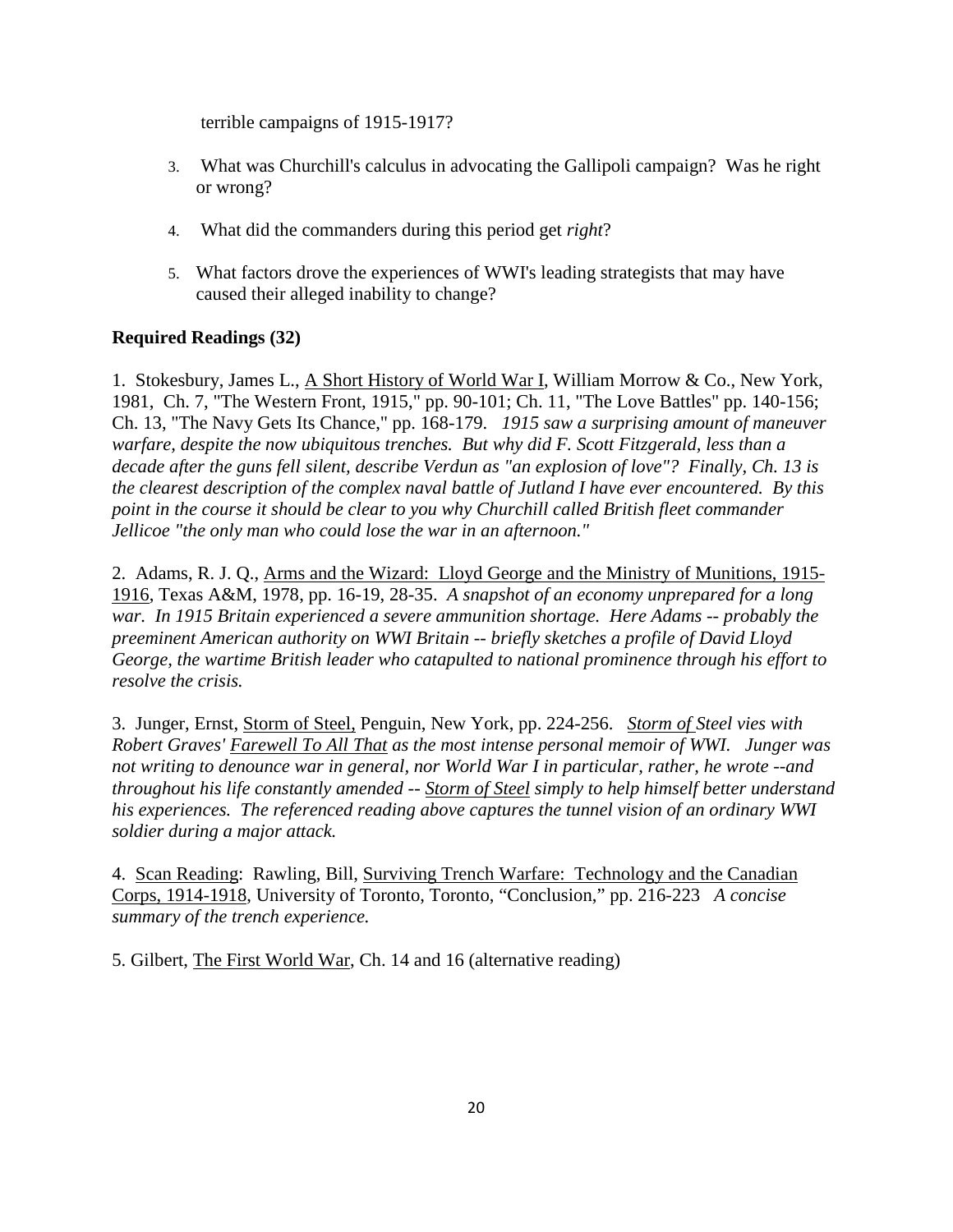terrible campaigns of 1915-1917?

- 3. What was Churchill's calculus in advocating the Gallipoli campaign? Was he right or wrong?
- 4. What did the commanders during this period get *right*?
- 5. What factors drove the experiences of WWI's leading strategists that may have caused their alleged inability to change?

# **Required Readings (32)**

1. Stokesbury, James L., A Short History of World War I, William Morrow & Co., New York, 1981, Ch. 7, "The Western Front, 1915," pp. 90-101; Ch. 11, "The Love Battles" pp. 140-156; Ch. 13, "The Navy Gets Its Chance," pp. 168-179. *1915 saw a surprising amount of maneuver warfare, despite the now ubiquitous trenches. But why did F. Scott Fitzgerald, less than a decade after the guns fell silent, describe Verdun as "an explosion of love"? Finally, Ch. 13 is the clearest description of the complex naval battle of Jutland I have ever encountered. By this point in the course it should be clear to you why Churchill called British fleet commander Jellicoe "the only man who could lose the war in an afternoon."*

2. Adams, R. J. Q., Arms and the Wizard: Lloyd George and the Ministry of Munitions, 1915- 1916, Texas A&M, 1978, pp. 16-19, 28-35. *A snapshot of an economy unprepared for a long war. In 1915 Britain experienced a severe ammunition shortage. Here Adams -- probably the preeminent American authority on WWI Britain -- briefly sketches a profile of David Lloyd George, the wartime British leader who catapulted to national prominence through his effort to resolve the crisis.* 

3. Junger, Ernst, Storm of Steel, Penguin, New York, pp. 224-256. *Storm of Steel vies with Robert Graves' Farewell To All That as the most intense personal memoir of WWI. Junger was not writing to denounce war in general, nor World War I in particular, rather, he wrote --and throughout his life constantly amended -- Storm of Steel simply to help himself better understand his experiences. The referenced reading above captures the tunnel vision of an ordinary WWI soldier during a major attack.*

4. Scan Reading: Rawling, Bill, Surviving Trench Warfare: Technology and the Canadian Corps, 1914-1918, University of Toronto, Toronto, "Conclusion," pp. 216-223 *A concise summary of the trench experience.*

5. Gilbert, The First World War, Ch. 14 and 16 (alternative reading)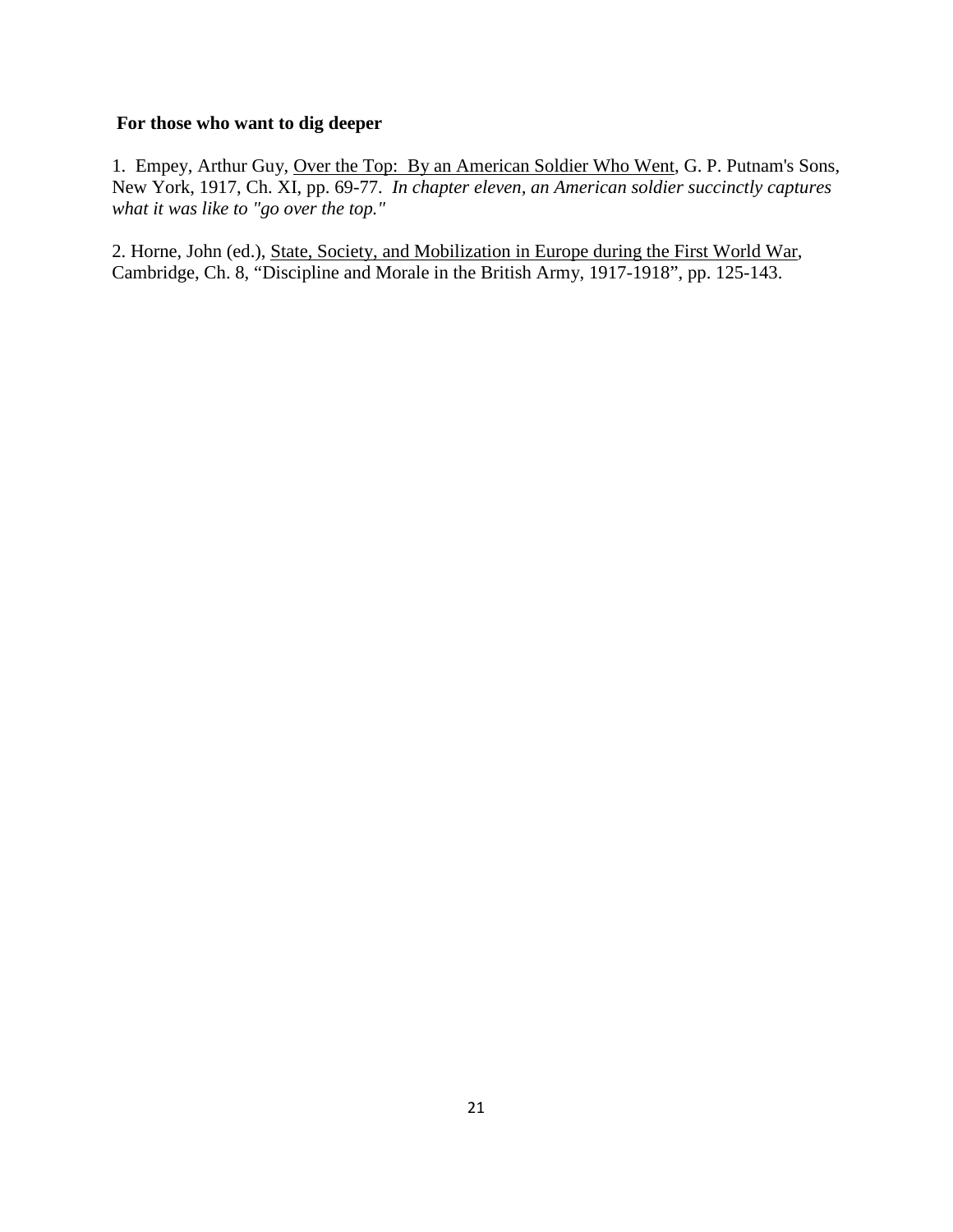#### **For those who want to dig deeper**

1. Empey, Arthur Guy, Over the Top: By an American Soldier Who Went, G. P. Putnam's Sons, New York, 1917, Ch. XI, pp. 69-77. *In chapter eleven, an American soldier succinctly captures what it was like to "go over the top."*

2. Horne, John (ed.), State, Society, and Mobilization in Europe during the First World War, Cambridge, Ch. 8, "Discipline and Morale in the British Army, 1917-1918", pp. 125-143.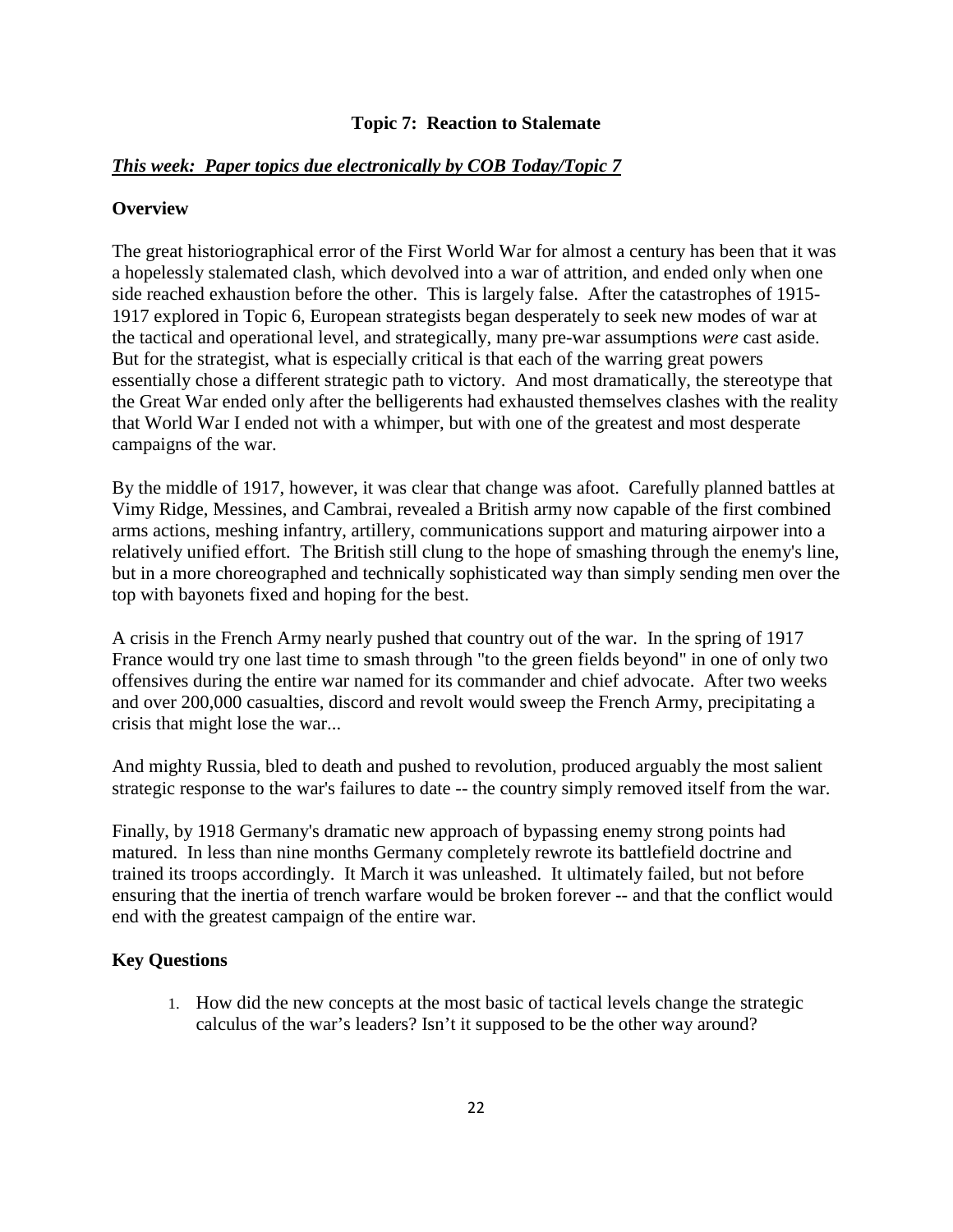#### **Topic 7: Reaction to Stalemate**

#### *This week: Paper topics due electronically by COB Today/Topic 7*

#### **Overview**

The great historiographical error of the First World War for almost a century has been that it was a hopelessly stalemated clash, which devolved into a war of attrition, and ended only when one side reached exhaustion before the other. This is largely false. After the catastrophes of 1915- 1917 explored in Topic 6, European strategists began desperately to seek new modes of war at the tactical and operational level, and strategically, many pre-war assumptions *were* cast aside. But for the strategist, what is especially critical is that each of the warring great powers essentially chose a different strategic path to victory. And most dramatically, the stereotype that the Great War ended only after the belligerents had exhausted themselves clashes with the reality that World War I ended not with a whimper, but with one of the greatest and most desperate campaigns of the war.

By the middle of 1917, however, it was clear that change was afoot. Carefully planned battles at Vimy Ridge, Messines, and Cambrai, revealed a British army now capable of the first combined arms actions, meshing infantry, artillery, communications support and maturing airpower into a relatively unified effort. The British still clung to the hope of smashing through the enemy's line, but in a more choreographed and technically sophisticated way than simply sending men over the top with bayonets fixed and hoping for the best.

A crisis in the French Army nearly pushed that country out of the war. In the spring of 1917 France would try one last time to smash through "to the green fields beyond" in one of only two offensives during the entire war named for its commander and chief advocate. After two weeks and over 200,000 casualties, discord and revolt would sweep the French Army, precipitating a crisis that might lose the war...

And mighty Russia, bled to death and pushed to revolution, produced arguably the most salient strategic response to the war's failures to date -- the country simply removed itself from the war.

Finally, by 1918 Germany's dramatic new approach of bypassing enemy strong points had matured. In less than nine months Germany completely rewrote its battlefield doctrine and trained its troops accordingly. It March it was unleashed. It ultimately failed, but not before ensuring that the inertia of trench warfare would be broken forever -- and that the conflict would end with the greatest campaign of the entire war.

#### **Key Questions**

1. How did the new concepts at the most basic of tactical levels change the strategic calculus of the war's leaders? Isn't it supposed to be the other way around?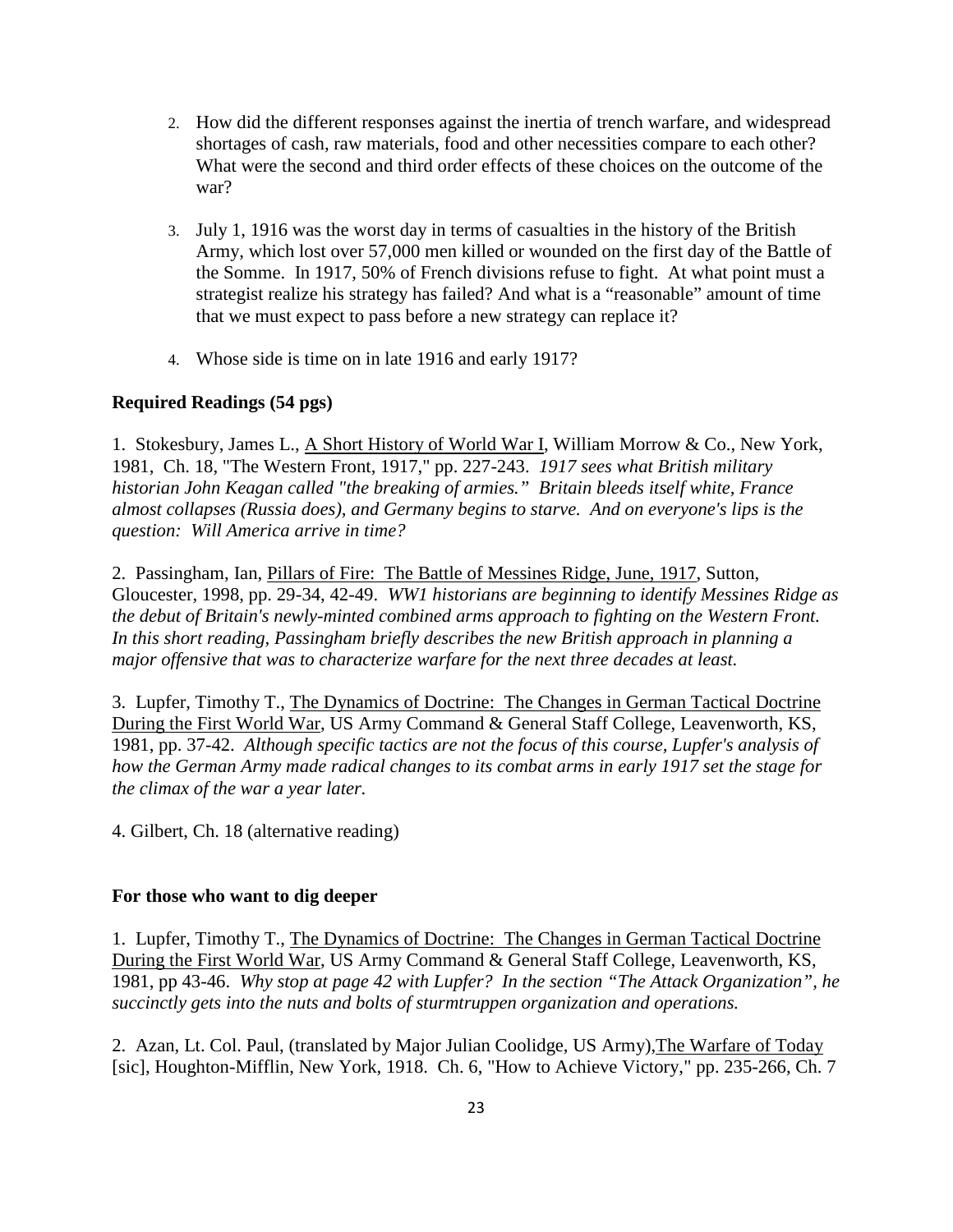- 2. How did the different responses against the inertia of trench warfare, and widespread shortages of cash, raw materials, food and other necessities compare to each other? What were the second and third order effects of these choices on the outcome of the war?
- 3. July 1, 1916 was the worst day in terms of casualties in the history of the British Army, which lost over 57,000 men killed or wounded on the first day of the Battle of the Somme. In 1917, 50% of French divisions refuse to fight. At what point must a strategist realize his strategy has failed? And what is a "reasonable" amount of time that we must expect to pass before a new strategy can replace it?
- 4. Whose side is time on in late 1916 and early 1917?

#### **Required Readings (54 pgs)**

1. Stokesbury, James L., A Short History of World War I, William Morrow & Co., New York, 1981, Ch. 18, "The Western Front, 1917," pp. 227-243. *1917 sees what British military historian John Keagan called "the breaking of armies." Britain bleeds itself white, France almost collapses (Russia does), and Germany begins to starve. And on everyone's lips is the question: Will America arrive in time?*

2. Passingham, Ian, Pillars of Fire: The Battle of Messines Ridge, June, 1917, Sutton, Gloucester, 1998, pp. 29-34, 42-49. *WW1 historians are beginning to identify Messines Ridge as the debut of Britain's newly-minted combined arms approach to fighting on the Western Front. In this short reading, Passingham briefly describes the new British approach in planning a major offensive that was to characterize warfare for the next three decades at least.*

3. Lupfer, Timothy T., The Dynamics of Doctrine: The Changes in German Tactical Doctrine During the First World War, US Army Command & General Staff College, Leavenworth, KS, 1981, pp. 37-42. *Although specific tactics are not the focus of this course, Lupfer's analysis of how the German Army made radical changes to its combat arms in early 1917 set the stage for the climax of the war a year later.*

4. Gilbert, Ch. 18 (alternative reading)

#### **For those who want to dig deeper**

1. Lupfer, Timothy T., The Dynamics of Doctrine: The Changes in German Tactical Doctrine During the First World War, US Army Command & General Staff College, Leavenworth, KS, 1981, pp 43-46. *Why stop at page 42 with Lupfer? In the section "The Attack Organization", he succinctly gets into the nuts and bolts of sturmtruppen organization and operations.*

2. Azan, Lt. Col. Paul, (translated by Major Julian Coolidge, US Army),The Warfare of Today [sic], Houghton-Mifflin, New York, 1918. Ch. 6, "How to Achieve Victory," pp. 235-266, Ch. 7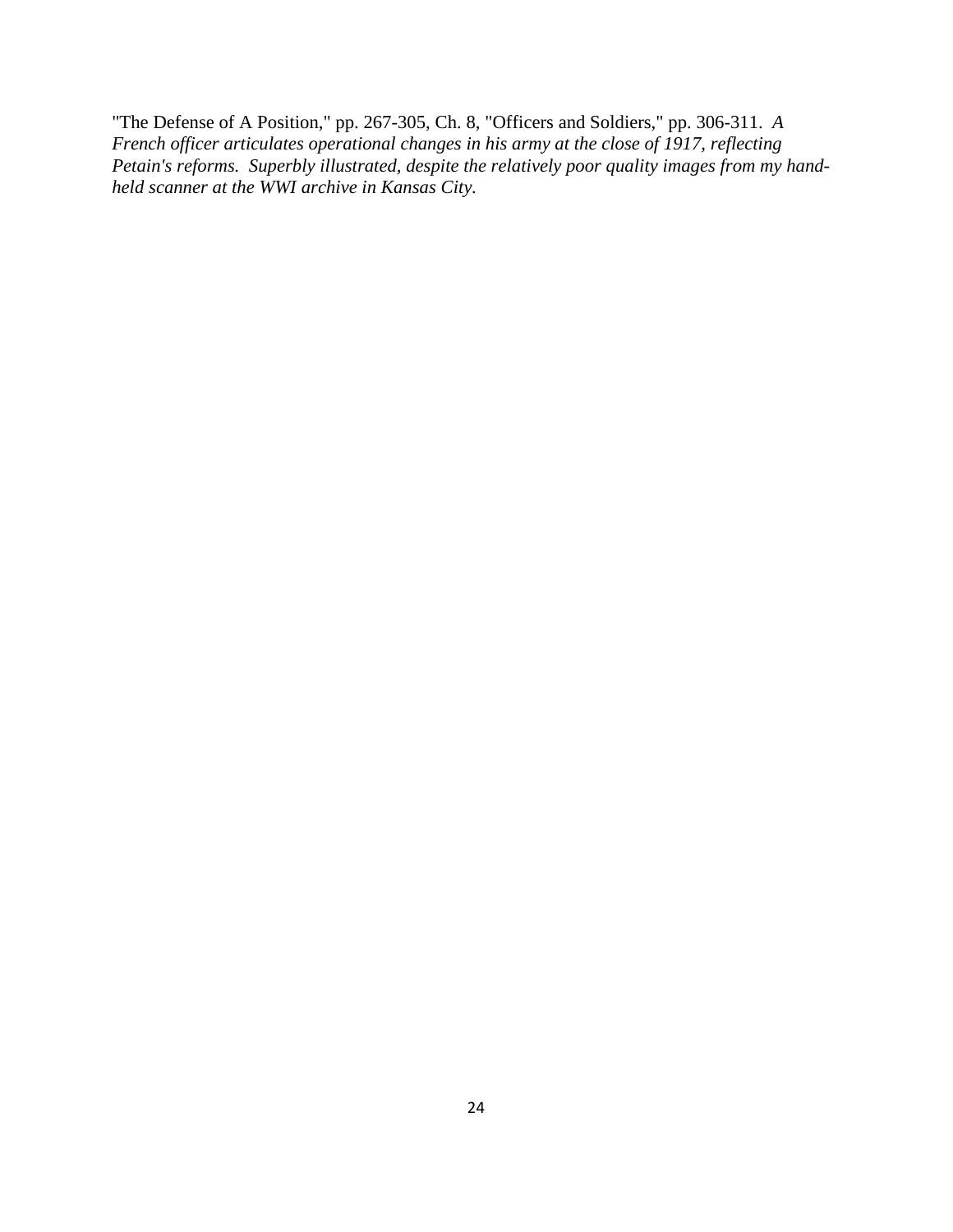"The Defense of A Position," pp. 267-305, Ch. 8, "Officers and Soldiers," pp. 306-311. *A French officer articulates operational changes in his army at the close of 1917, reflecting Petain's reforms. Superbly illustrated, despite the relatively poor quality images from my handheld scanner at the WWI archive in Kansas City.*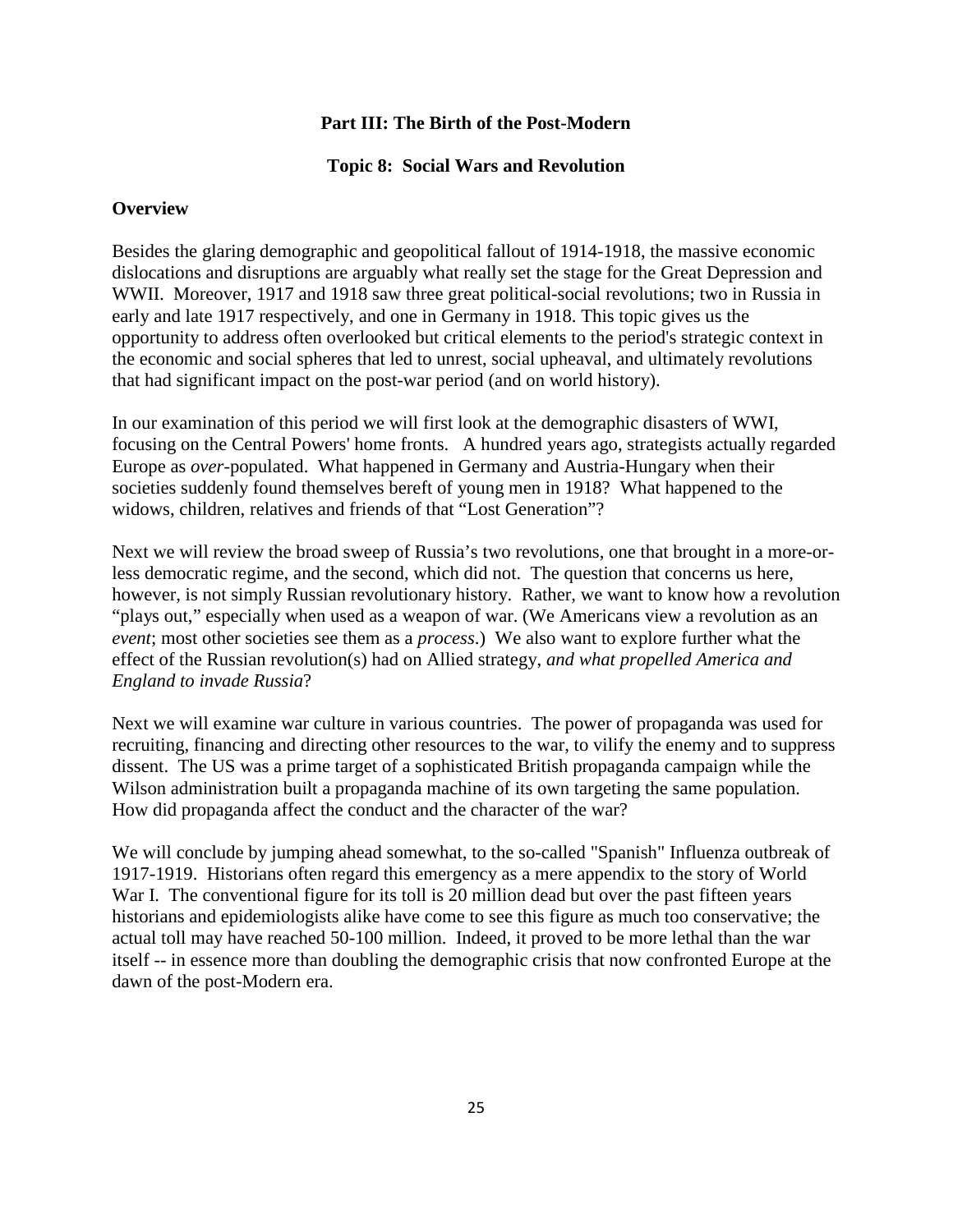#### **Part III: The Birth of the Post-Modern**

#### **Topic 8: Social Wars and Revolution**

#### **Overview**

Besides the glaring demographic and geopolitical fallout of 1914-1918, the massive economic dislocations and disruptions are arguably what really set the stage for the Great Depression and WWII. Moreover, 1917 and 1918 saw three great political-social revolutions; two in Russia in early and late 1917 respectively, and one in Germany in 1918. This topic gives us the opportunity to address often overlooked but critical elements to the period's strategic context in the economic and social spheres that led to unrest, social upheaval, and ultimately revolutions that had significant impact on the post-war period (and on world history).

In our examination of this period we will first look at the demographic disasters of WWI, focusing on the Central Powers' home fronts. A hundred years ago, strategists actually regarded Europe as *over*-populated. What happened in Germany and Austria-Hungary when their societies suddenly found themselves bereft of young men in 1918? What happened to the widows, children, relatives and friends of that "Lost Generation"?

Next we will review the broad sweep of Russia's two revolutions, one that brought in a more-orless democratic regime, and the second, which did not. The question that concerns us here, however, is not simply Russian revolutionary history. Rather, we want to know how a revolution "plays out," especially when used as a weapon of war. (We Americans view a revolution as an *event*; most other societies see them as a *process*.) We also want to explore further what the effect of the Russian revolution(s) had on Allied strategy, *and what propelled America and England to invade Russia*?

Next we will examine war culture in various countries. The power of propaganda was used for recruiting, financing and directing other resources to the war, to vilify the enemy and to suppress dissent. The US was a prime target of a sophisticated British propaganda campaign while the Wilson administration built a propaganda machine of its own targeting the same population. How did propaganda affect the conduct and the character of the war?

We will conclude by jumping ahead somewhat, to the so-called "Spanish" Influenza outbreak of 1917-1919. Historians often regard this emergency as a mere appendix to the story of World War I. The conventional figure for its toll is 20 million dead but over the past fifteen years historians and epidemiologists alike have come to see this figure as much too conservative; the actual toll may have reached 50-100 million. Indeed, it proved to be more lethal than the war itself -- in essence more than doubling the demographic crisis that now confronted Europe at the dawn of the post-Modern era.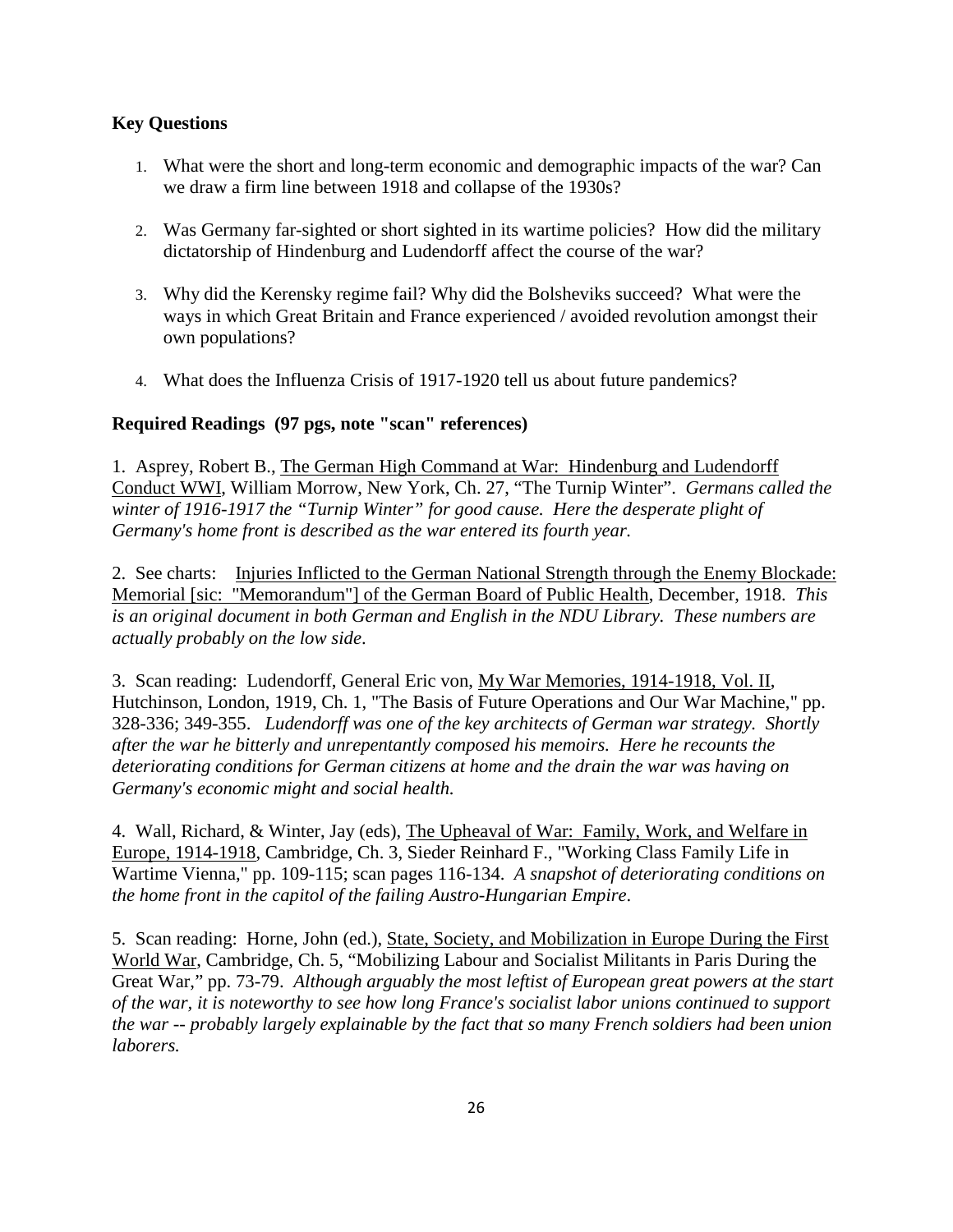# **Key Questions**

- 1. What were the short and long-term economic and demographic impacts of the war? Can we draw a firm line between 1918 and collapse of the 1930s?
- 2. Was Germany far-sighted or short sighted in its wartime policies? How did the military dictatorship of Hindenburg and Ludendorff affect the course of the war?
- 3. Why did the Kerensky regime fail? Why did the Bolsheviks succeed? What were the ways in which Great Britain and France experienced / avoided revolution amongst their own populations?
- 4. What does the Influenza Crisis of 1917-1920 tell us about future pandemics?

# **Required Readings (97 pgs, note "scan" references)**

1. Asprey, Robert B., The German High Command at War: Hindenburg and Ludendorff Conduct WWI, William Morrow, New York, Ch. 27, "The Turnip Winter". *Germans called the winter of 1916-1917 the "Turnip Winter" for good cause. Here the desperate plight of Germany's home front is described as the war entered its fourth year.*

2. See charts: Injuries Inflicted to the German National Strength through the Enemy Blockade: Memorial [sic: "Memorandum"] of the German Board of Public Health, December, 1918. *This is an original document in both German and English in the NDU Library. These numbers are actually probably on the low side*.

3. Scan reading: Ludendorff, General Eric von, My War Memories, 1914-1918, Vol. II, Hutchinson, London, 1919, Ch. 1, "The Basis of Future Operations and Our War Machine," pp. 328-336; 349-355. *Ludendorff was one of the key architects of German war strategy. Shortly after the war he bitterly and unrepentantly composed his memoirs. Here he recounts the deteriorating conditions for German citizens at home and the drain the war was having on Germany's economic might and social health.*

4. Wall, Richard, & Winter, Jay (eds), The Upheaval of War: Family, Work, and Welfare in Europe, 1914-1918, Cambridge, Ch. 3, Sieder Reinhard F., "Working Class Family Life in Wartime Vienna," pp. 109-115; scan pages 116-134. *A snapshot of deteriorating conditions on the home front in the capitol of the failing Austro-Hungarian Empire*.

5. Scan reading: Horne, John (ed.), State, Society, and Mobilization in Europe During the First World War, Cambridge, Ch. 5, "Mobilizing Labour and Socialist Militants in Paris During the Great War," pp. 73-79. *Although arguably the most leftist of European great powers at the start of the war, it is noteworthy to see how long France's socialist labor unions continued to support the war -- probably largely explainable by the fact that so many French soldiers had been union laborers.*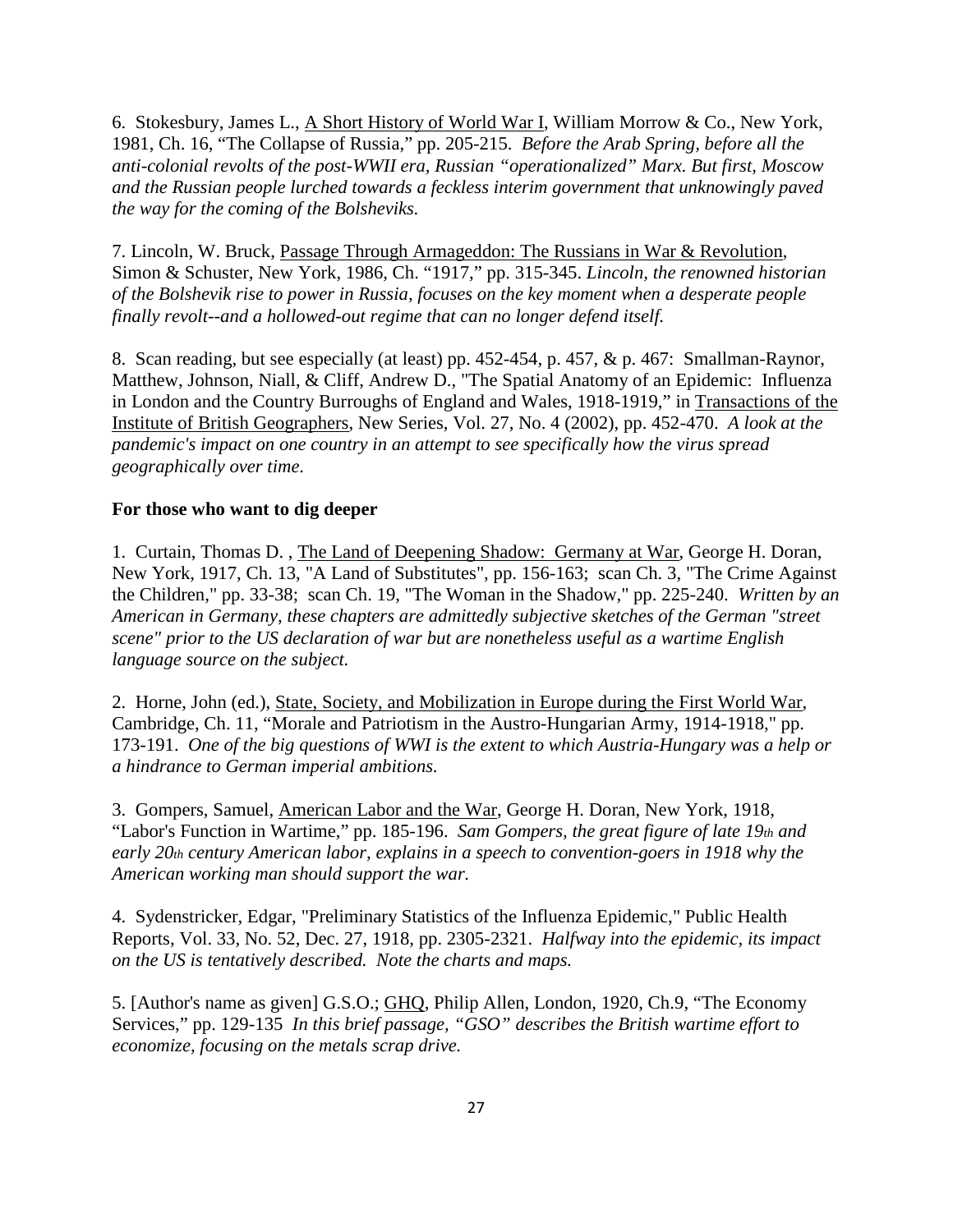6. Stokesbury, James L., A Short History of World War I, William Morrow & Co., New York, 1981, Ch. 16, "The Collapse of Russia," pp. 205-215. *Before the Arab Spring, before all the anti-colonial revolts of the post-WWII era, Russian "operationalized" Marx. But first, Moscow and the Russian people lurched towards a feckless interim government that unknowingly paved the way for the coming of the Bolsheviks.* 

7. Lincoln, W. Bruck, Passage Through Armageddon: The Russians in War & Revolution, Simon & Schuster, New York, 1986, Ch. "1917," pp. 315-345. *Lincoln, the renowned historian of the Bolshevik rise to power in Russia, focuses on the key moment when a desperate people finally revolt--and a hollowed-out regime that can no longer defend itself.* 

8. Scan reading, but see especially (at least) pp. 452-454, p. 457, & p. 467: Smallman-Raynor, Matthew, Johnson, Niall, & Cliff, Andrew D., "The Spatial Anatomy of an Epidemic: Influenza in London and the Country Burroughs of England and Wales, 1918-1919," in Transactions of the Institute of British Geographers, New Series, Vol. 27, No. 4 (2002), pp. 452-470. *A look at the pandemic's impact on one country in an attempt to see specifically how the virus spread geographically over time.*

#### **For those who want to dig deeper**

1. Curtain, Thomas D. , The Land of Deepening Shadow: Germany at War, George H. Doran, New York, 1917, Ch. 13, "A Land of Substitutes", pp. 156-163; scan Ch. 3, "The Crime Against the Children," pp. 33-38; scan Ch. 19, "The Woman in the Shadow," pp. 225-240. *Written by an American in Germany, these chapters are admittedly subjective sketches of the German "street scene" prior to the US declaration of war but are nonetheless useful as a wartime English language source on the subject.*

2. Horne, John (ed.), State, Society, and Mobilization in Europe during the First World War, Cambridge, Ch. 11, "Morale and Patriotism in the Austro-Hungarian Army, 1914-1918," pp. 173-191. *One of the big questions of WWI is the extent to which Austria-Hungary was a help or a hindrance to German imperial ambitions.*

3. Gompers, Samuel, American Labor and the War, George H. Doran, New York, 1918, "Labor's Function in Wartime," pp. 185-196. *Sam Gompers, the great figure of late 19th and early 20th century American labor, explains in a speech to convention-goers in 1918 why the American working man should support the war.*

4. Sydenstricker, Edgar, "Preliminary Statistics of the Influenza Epidemic," Public Health Reports, Vol. 33, No. 52, Dec. 27, 1918, pp. 2305-2321. *Halfway into the epidemic, its impact on the US is tentatively described. Note the charts and maps.*

5. [Author's name as given] G.S.O.; GHQ, Philip Allen, London, 1920, Ch.9, "The Economy Services," pp. 129-135 *In this brief passage, "GSO" describes the British wartime effort to economize, focusing on the metals scrap drive.*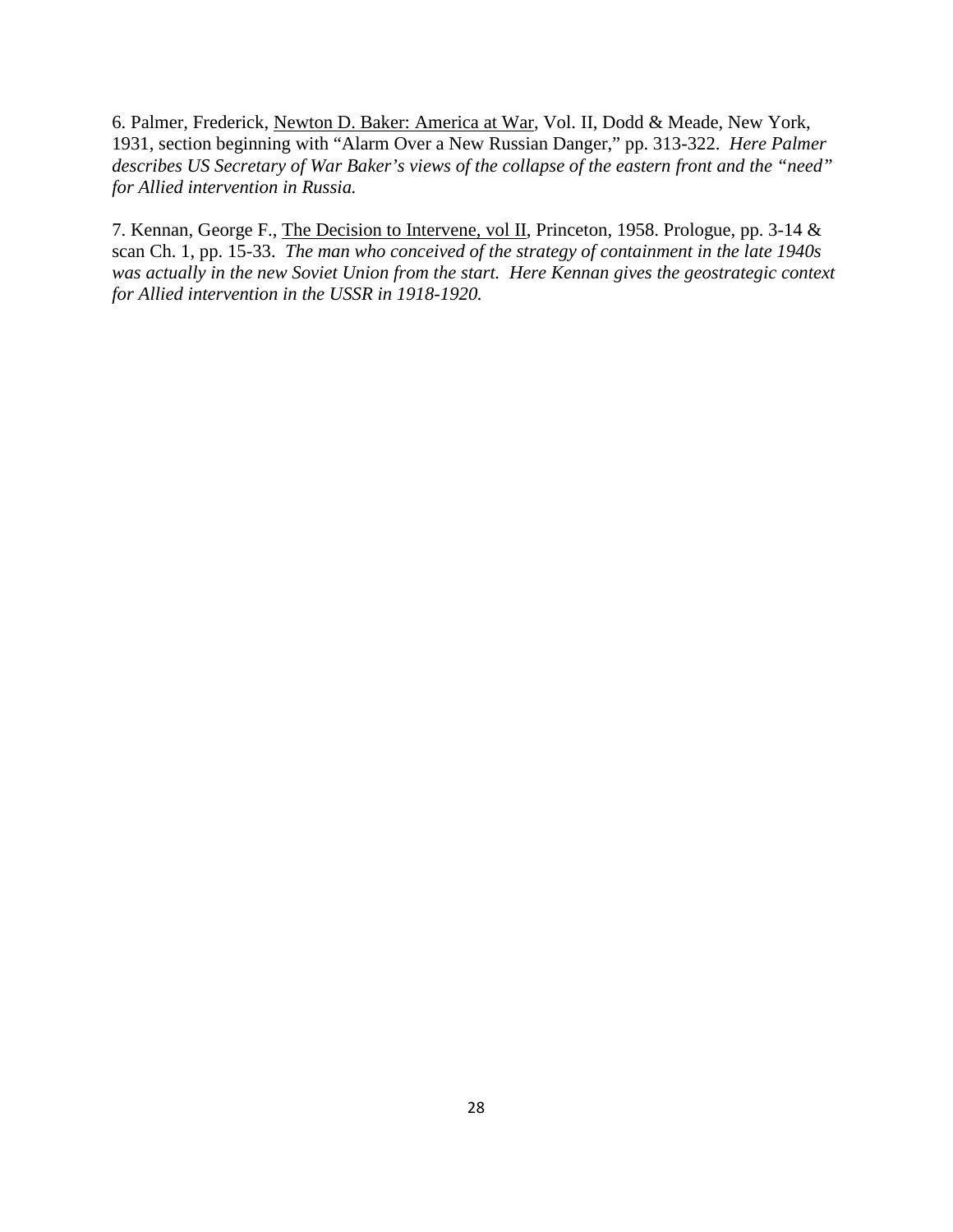6. Palmer, Frederick, Newton D. Baker: America at War, Vol. II, Dodd & Meade, New York, 1931, section beginning with "Alarm Over a New Russian Danger," pp. 313-322. *Here Palmer describes US Secretary of War Baker's views of the collapse of the eastern front and the "need" for Allied intervention in Russia.*

7. Kennan, George F., The Decision to Intervene, vol II, Princeton, 1958. Prologue, pp. 3-14 & scan Ch. 1, pp. 15-33. *The man who conceived of the strategy of containment in the late 1940s was actually in the new Soviet Union from the start. Here Kennan gives the geostrategic context for Allied intervention in the USSR in 1918-1920.*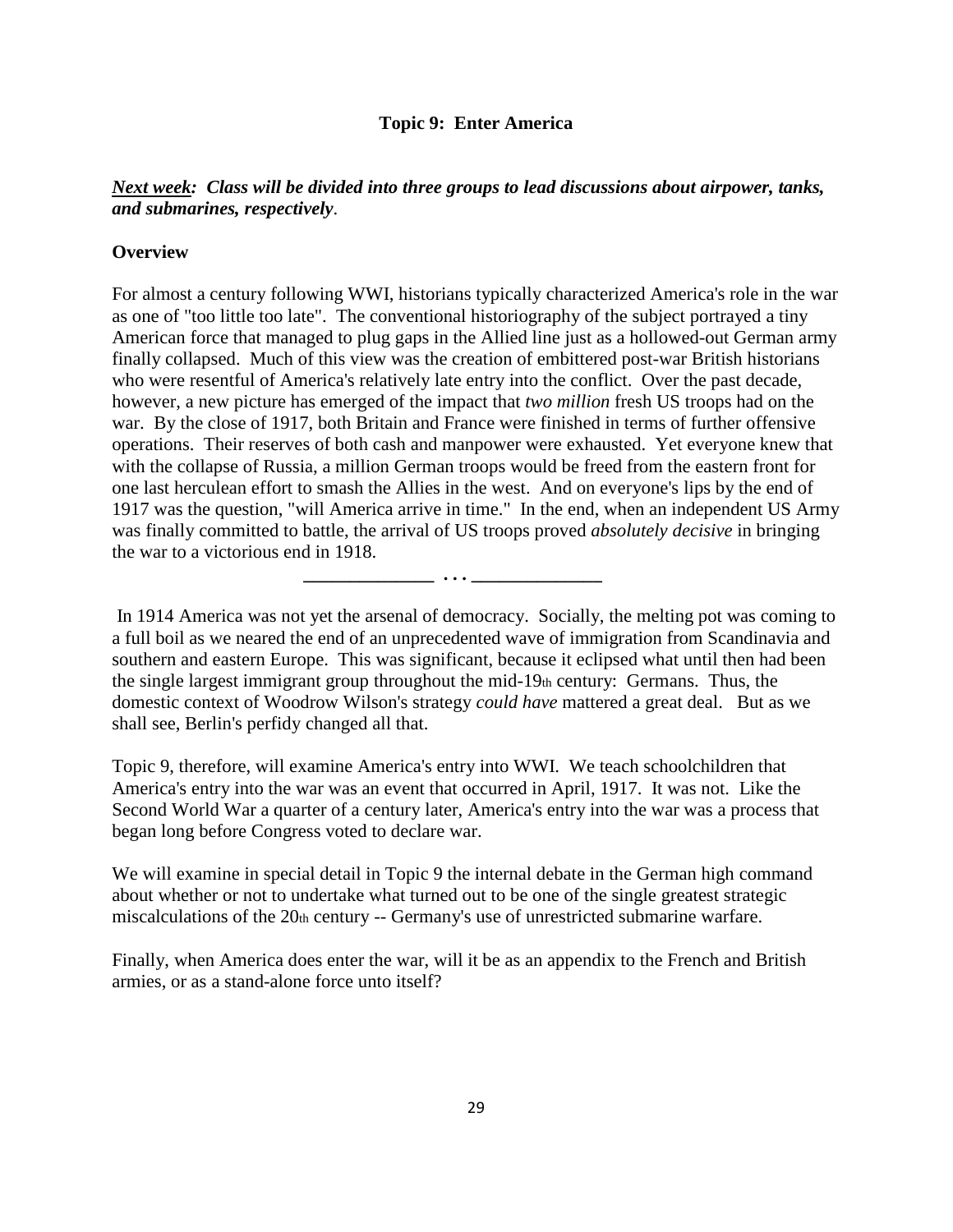#### **Topic 9: Enter America**

# *Next week: Class will be divided into three groups to lead discussions about airpower, tanks, and submarines, respectively*.

#### **Overview**

For almost a century following WWI, historians typically characterized America's role in the war as one of "too little too late". The conventional historiography of the subject portrayed a tiny American force that managed to plug gaps in the Allied line just as a hollowed-out German army finally collapsed. Much of this view was the creation of embittered post-war British historians who were resentful of America's relatively late entry into the conflict. Over the past decade, however, a new picture has emerged of the impact that *two million* fresh US troops had on the war. By the close of 1917, both Britain and France were finished in terms of further offensive operations. Their reserves of both cash and manpower were exhausted. Yet everyone knew that with the collapse of Russia, a million German troops would be freed from the eastern front for one last herculean effort to smash the Allies in the west. And on everyone's lips by the end of 1917 was the question, "will America arrive in time." In the end, when an independent US Army was finally committed to battle, the arrival of US troops proved *absolutely decisive* in bringing the war to a victorious end in 1918.

In 1914 America was not yet the arsenal of democracy. Socially, the melting pot was coming to a full boil as we neared the end of an unprecedented wave of immigration from Scandinavia and southern and eastern Europe. This was significant, because it eclipsed what until then had been the single largest immigrant group throughout the mid-19th century: Germans. Thus, the domestic context of Woodrow Wilson's strategy *could have* mattered a great deal. But as we shall see, Berlin's perfidy changed all that.

 **\_\_\_\_\_\_\_\_\_\_\_\_\_\_ . . . \_\_\_\_\_\_\_\_\_\_\_\_\_\_**

Topic 9, therefore, will examine America's entry into WWI. We teach schoolchildren that America's entry into the war was an event that occurred in April, 1917. It was not. Like the Second World War a quarter of a century later, America's entry into the war was a process that began long before Congress voted to declare war.

We will examine in special detail in Topic 9 the internal debate in the German high command about whether or not to undertake what turned out to be one of the single greatest strategic miscalculations of the 20th century -- Germany's use of unrestricted submarine warfare.

Finally, when America does enter the war, will it be as an appendix to the French and British armies, or as a stand-alone force unto itself?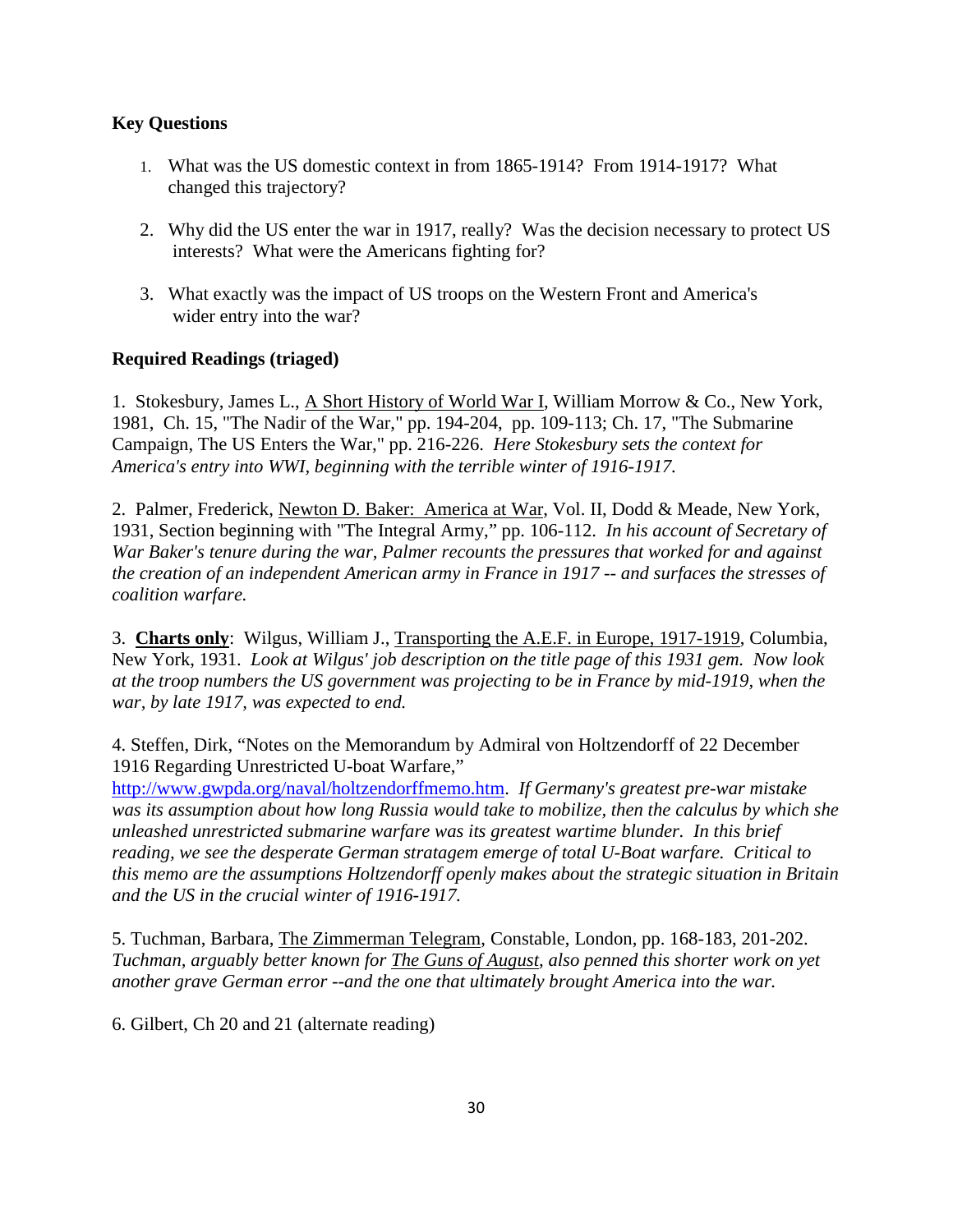# **Key Questions**

- 1. What was the US domestic context in from 1865-1914? From 1914-1917? What changed this trajectory?
- 2. Why did the US enter the war in 1917, really? Was the decision necessary to protect US interests? What were the Americans fighting for?
- 3. What exactly was the impact of US troops on the Western Front and America's wider entry into the war?

# **Required Readings (triaged)**

1. Stokesbury, James L., A Short History of World War I, William Morrow & Co., New York, 1981, Ch. 15, "The Nadir of the War," pp. 194-204, pp. 109-113; Ch. 17, "The Submarine Campaign, The US Enters the War," pp. 216-226. *Here Stokesbury sets the context for America's entry into WWI, beginning with the terrible winter of 1916-1917.*

2. Palmer, Frederick, Newton D. Baker: America at War, Vol. II, Dodd & Meade, New York, 1931, Section beginning with "The Integral Army," pp. 106-112. *In his account of Secretary of War Baker's tenure during the war, Palmer recounts the pressures that worked for and against the creation of an independent American army in France in 1917 -- and surfaces the stresses of coalition warfare.*

3. **Charts only**: Wilgus, William J., Transporting the A.E.F. in Europe, 1917-1919, Columbia, New York, 1931. *Look at Wilgus' job description on the title page of this 1931 gem. Now look at the troop numbers the US government was projecting to be in France by mid-1919, when the war, by late 1917, was expected to end.*

4. Steffen, Dirk, "Notes on the Memorandum by Admiral von Holtzendorff of 22 December 1916 Regarding Unrestricted U-boat Warfare,"

http://www.gwpda.org/naval/holtzendorffmemo.htm. *If Germany's greatest pre-war mistake was its assumption about how long Russia would take to mobilize, then the calculus by which she unleashed unrestricted submarine warfare was its greatest wartime blunder. In this brief reading, we see the desperate German stratagem emerge of total U-Boat warfare. Critical to this memo are the assumptions Holtzendorff openly makes about the strategic situation in Britain and the US in the crucial winter of 1916-1917.*

5. Tuchman, Barbara, The Zimmerman Telegram, Constable, London, pp. 168-183, 201-202. *Tuchman, arguably better known for The Guns of August, also penned this shorter work on yet another grave German error --and the one that ultimately brought America into the war.*

6. Gilbert, Ch 20 and 21 (alternate reading)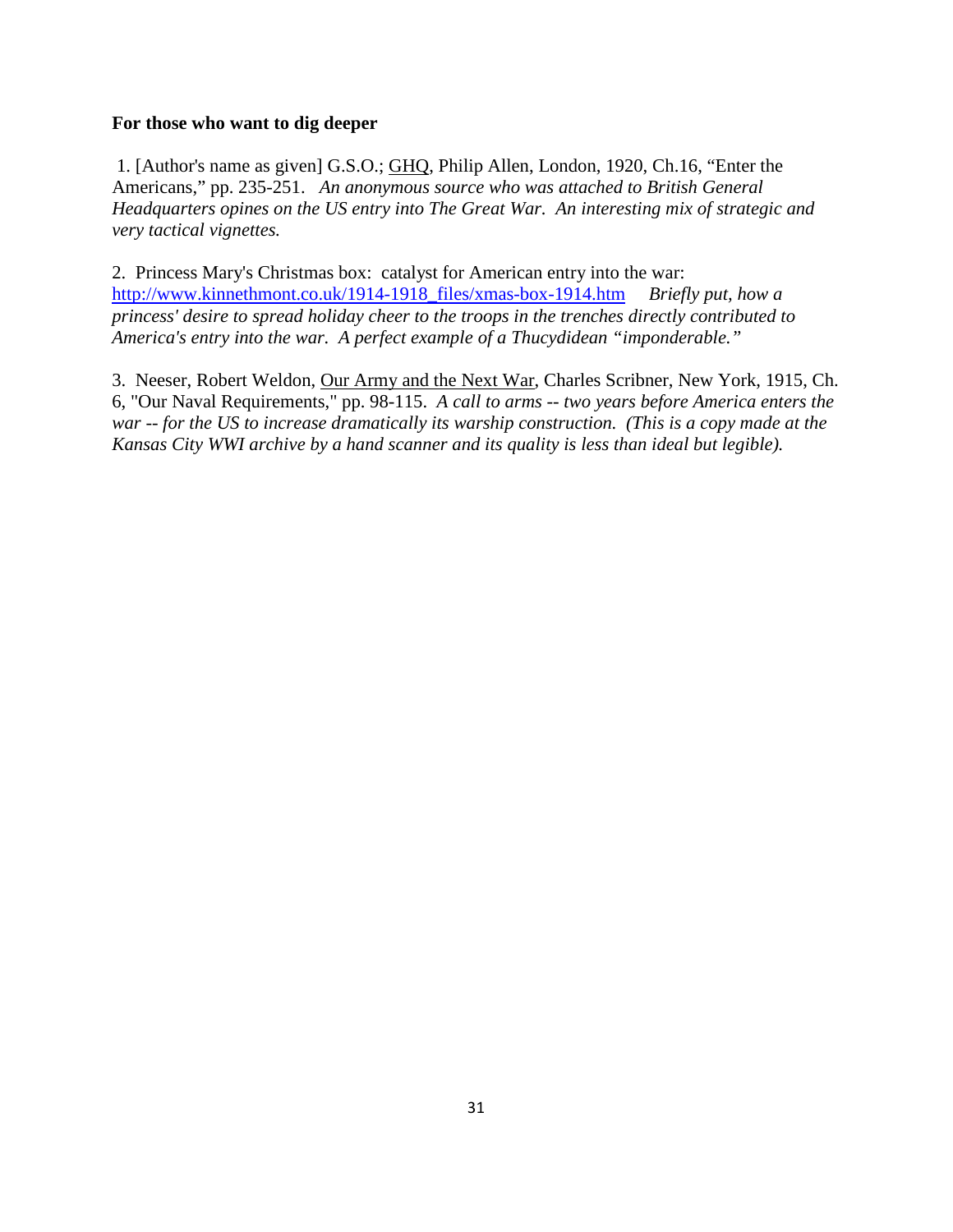#### **For those who want to dig deeper**

1. [Author's name as given] G.S.O.; GHQ, Philip Allen, London, 1920, Ch.16, "Enter the Americans," pp. 235-251. *An anonymous source who was attached to British General Headquarters opines on the US entry into The Great War. An interesting mix of strategic and very tactical vignettes.*

2. Princess Mary's Christmas box: catalyst for American entry into the war: http://www.kinnethmont.co.uk/1914-1918\_files/xmas-box-1914.htm *Briefly put, how a princess' desire to spread holiday cheer to the troops in the trenches directly contributed to America's entry into the war. A perfect example of a Thucydidean "imponderable."*

3. Neeser, Robert Weldon, Our Army and the Next War, Charles Scribner, New York, 1915, Ch. 6, "Our Naval Requirements," pp. 98-115. *A call to arms -- two years before America enters the war -- for the US to increase dramatically its warship construction. (This is a copy made at the Kansas City WWI archive by a hand scanner and its quality is less than ideal but legible).*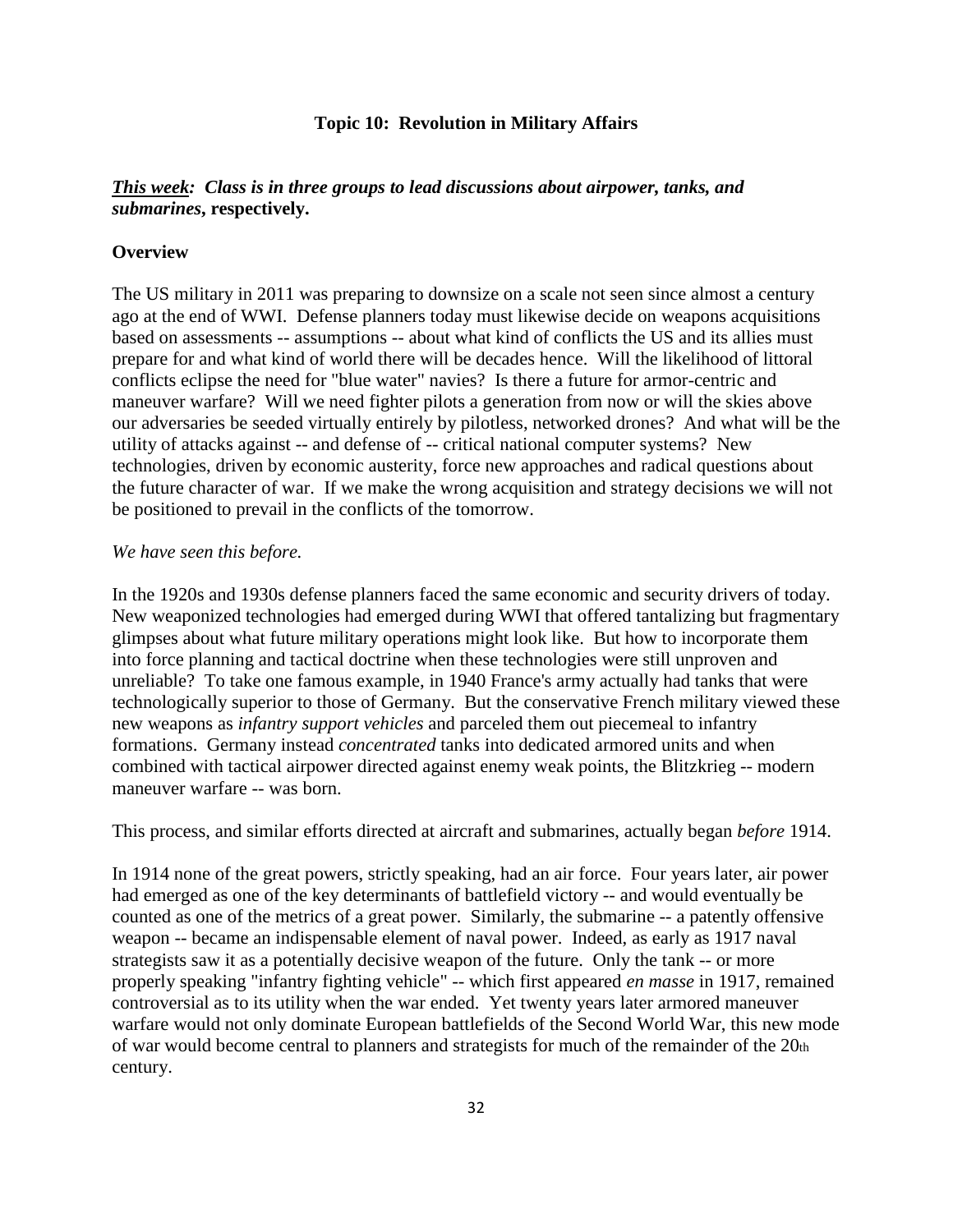#### **Topic 10: Revolution in Military Affairs**

# *This week: Class is in three groups to lead discussions about airpower, tanks, and submarines***, respectively.**

#### **Overview**

The US military in 2011 was preparing to downsize on a scale not seen since almost a century ago at the end of WWI. Defense planners today must likewise decide on weapons acquisitions based on assessments -- assumptions -- about what kind of conflicts the US and its allies must prepare for and what kind of world there will be decades hence. Will the likelihood of littoral conflicts eclipse the need for "blue water" navies? Is there a future for armor-centric and maneuver warfare? Will we need fighter pilots a generation from now or will the skies above our adversaries be seeded virtually entirely by pilotless, networked drones? And what will be the utility of attacks against -- and defense of -- critical national computer systems? New technologies, driven by economic austerity, force new approaches and radical questions about the future character of war. If we make the wrong acquisition and strategy decisions we will not be positioned to prevail in the conflicts of the tomorrow.

#### *We have seen this before.*

In the 1920s and 1930s defense planners faced the same economic and security drivers of today. New weaponized technologies had emerged during WWI that offered tantalizing but fragmentary glimpses about what future military operations might look like. But how to incorporate them into force planning and tactical doctrine when these technologies were still unproven and unreliable? To take one famous example, in 1940 France's army actually had tanks that were technologically superior to those of Germany. But the conservative French military viewed these new weapons as *infantry support vehicles* and parceled them out piecemeal to infantry formations. Germany instead *concentrated* tanks into dedicated armored units and when combined with tactical airpower directed against enemy weak points, the Blitzkrieg -- modern maneuver warfare -- was born.

This process, and similar efforts directed at aircraft and submarines, actually began *before* 1914.

In 1914 none of the great powers, strictly speaking, had an air force. Four years later, air power had emerged as one of the key determinants of battlefield victory -- and would eventually be counted as one of the metrics of a great power. Similarly, the submarine -- a patently offensive weapon -- became an indispensable element of naval power. Indeed, as early as 1917 naval strategists saw it as a potentially decisive weapon of the future. Only the tank -- or more properly speaking "infantry fighting vehicle" -- which first appeared *en masse* in 1917, remained controversial as to its utility when the war ended. Yet twenty years later armored maneuver warfare would not only dominate European battlefields of the Second World War, this new mode of war would become central to planners and strategists for much of the remainder of the 20th century.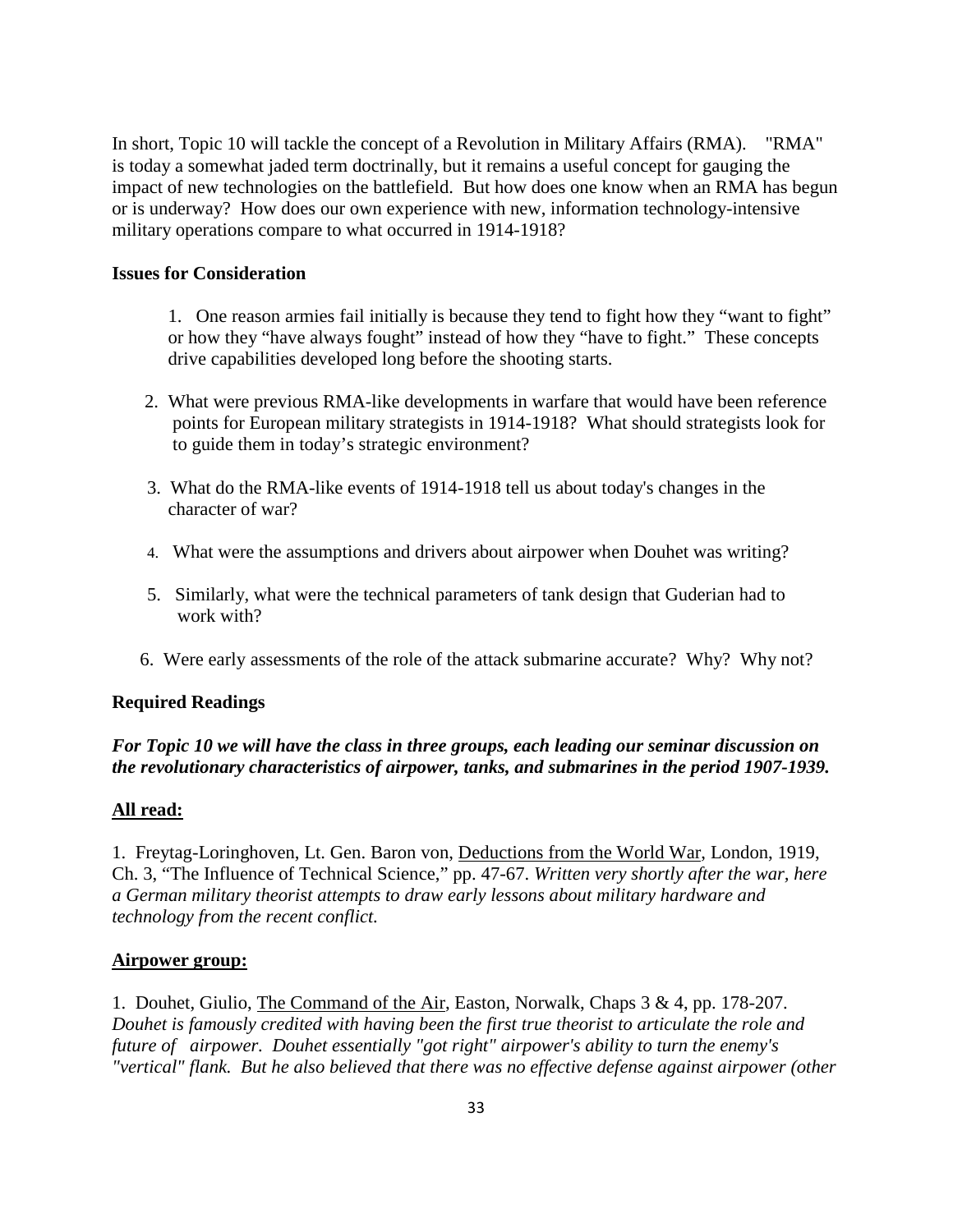In short, Topic 10 will tackle the concept of a Revolution in Military Affairs (RMA). "RMA" is today a somewhat jaded term doctrinally, but it remains a useful concept for gauging the impact of new technologies on the battlefield. But how does one know when an RMA has begun or is underway? How does our own experience with new, information technology-intensive military operations compare to what occurred in 1914-1918?

#### **Issues for Consideration**

1. One reason armies fail initially is because they tend to fight how they "want to fight" or how they "have always fought" instead of how they "have to fight." These concepts drive capabilities developed long before the shooting starts.

- 2. What were previous RMA-like developments in warfare that would have been reference points for European military strategists in 1914-1918? What should strategists look for to guide them in today's strategic environment?
- 3. What do the RMA-like events of 1914-1918 tell us about today's changes in the character of war?
- 4. What were the assumptions and drivers about airpower when Douhet was writing?
- 5. Similarly, what were the technical parameters of tank design that Guderian had to work with?
- 6. Were early assessments of the role of the attack submarine accurate? Why? Why not?

#### **Required Readings**

# *For Topic 10 we will have the class in three groups, each leading our seminar discussion on the revolutionary characteristics of airpower, tanks, and submarines in the period 1907-1939.*

#### **All read:**

1. Freytag-Loringhoven, Lt. Gen. Baron von, Deductions from the World War, London, 1919, Ch. 3, "The Influence of Technical Science," pp. 47-67. *Written very shortly after the war, here a German military theorist attempts to draw early lessons about military hardware and technology from the recent conflict.*

#### **Airpower group:**

1. Douhet, Giulio, The Command of the Air, Easton, Norwalk, Chaps 3 & 4, pp. 178-207. *Douhet is famously credited with having been the first true theorist to articulate the role and future of airpower. Douhet essentially "got right" airpower's ability to turn the enemy's "vertical" flank. But he also believed that there was no effective defense against airpower (other*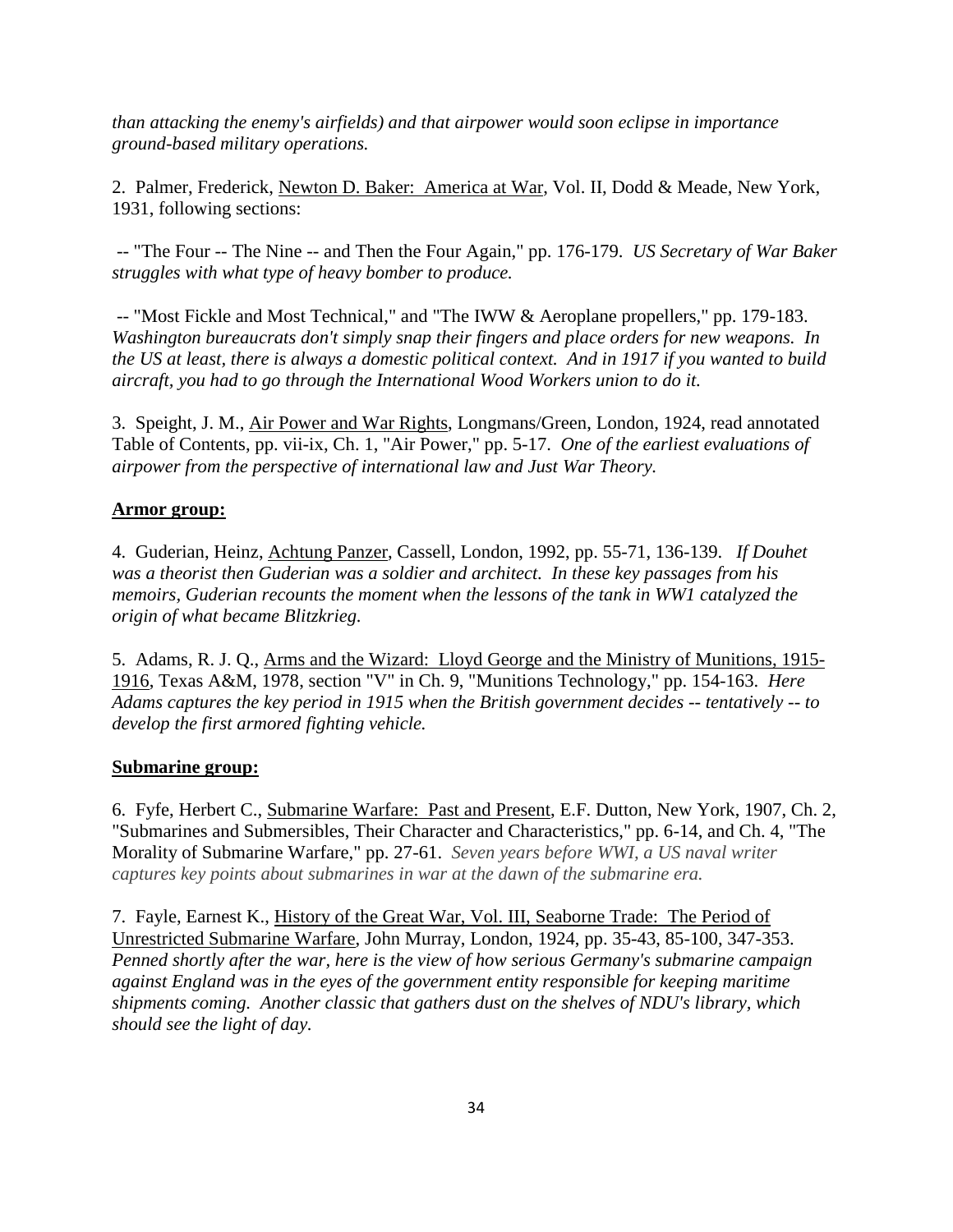*than attacking the enemy's airfields) and that airpower would soon eclipse in importance ground-based military operations.* 

2. Palmer, Frederick, Newton D. Baker: America at War, Vol. II, Dodd & Meade, New York, 1931, following sections:

-- "The Four -- The Nine -- and Then the Four Again," pp. 176-179. *US Secretary of War Baker struggles with what type of heavy bomber to produce.*

-- "Most Fickle and Most Technical," and "The IWW & Aeroplane propellers," pp. 179-183. *Washington bureaucrats don't simply snap their fingers and place orders for new weapons. In the US at least, there is always a domestic political context. And in 1917 if you wanted to build aircraft, you had to go through the International Wood Workers union to do it.*

3. Speight, J. M., Air Power and War Rights, Longmans/Green, London, 1924, read annotated Table of Contents, pp. vii-ix, Ch. 1, "Air Power," pp. 5-17. *One of the earliest evaluations of airpower from the perspective of international law and Just War Theory.*

# **Armor group:**

4. Guderian, Heinz, Achtung Panzer, Cassell, London, 1992, pp. 55-71, 136-139. *If Douhet was a theorist then Guderian was a soldier and architect. In these key passages from his memoirs, Guderian recounts the moment when the lessons of the tank in WW1 catalyzed the origin of what became Blitzkrieg.*

5. Adams, R. J. Q., Arms and the Wizard: Lloyd George and the Ministry of Munitions, 1915- 1916, Texas A&M, 1978, section "V" in Ch. 9, "Munitions Technology," pp. 154-163. *Here Adams captures the key period in 1915 when the British government decides -- tentatively -- to develop the first armored fighting vehicle.* 

#### **Submarine group:**

6. Fyfe, Herbert C., Submarine Warfare: Past and Present, E.F. Dutton, New York, 1907, Ch. 2, "Submarines and Submersibles, Their Character and Characteristics," pp. 6-14, and Ch. 4, "The Morality of Submarine Warfare," pp. 27-61. *Seven years before WWI, a US naval writer captures key points about submarines in war at the dawn of the submarine era.* 

7. Fayle, Earnest K., History of the Great War, Vol. III, Seaborne Trade: The Period of Unrestricted Submarine Warfare, John Murray, London, 1924, pp. 35-43, 85-100, 347-353. *Penned shortly after the war, here is the view of how serious Germany's submarine campaign against England was in the eyes of the government entity responsible for keeping maritime shipments coming. Another classic that gathers dust on the shelves of NDU's library, which should see the light of day.*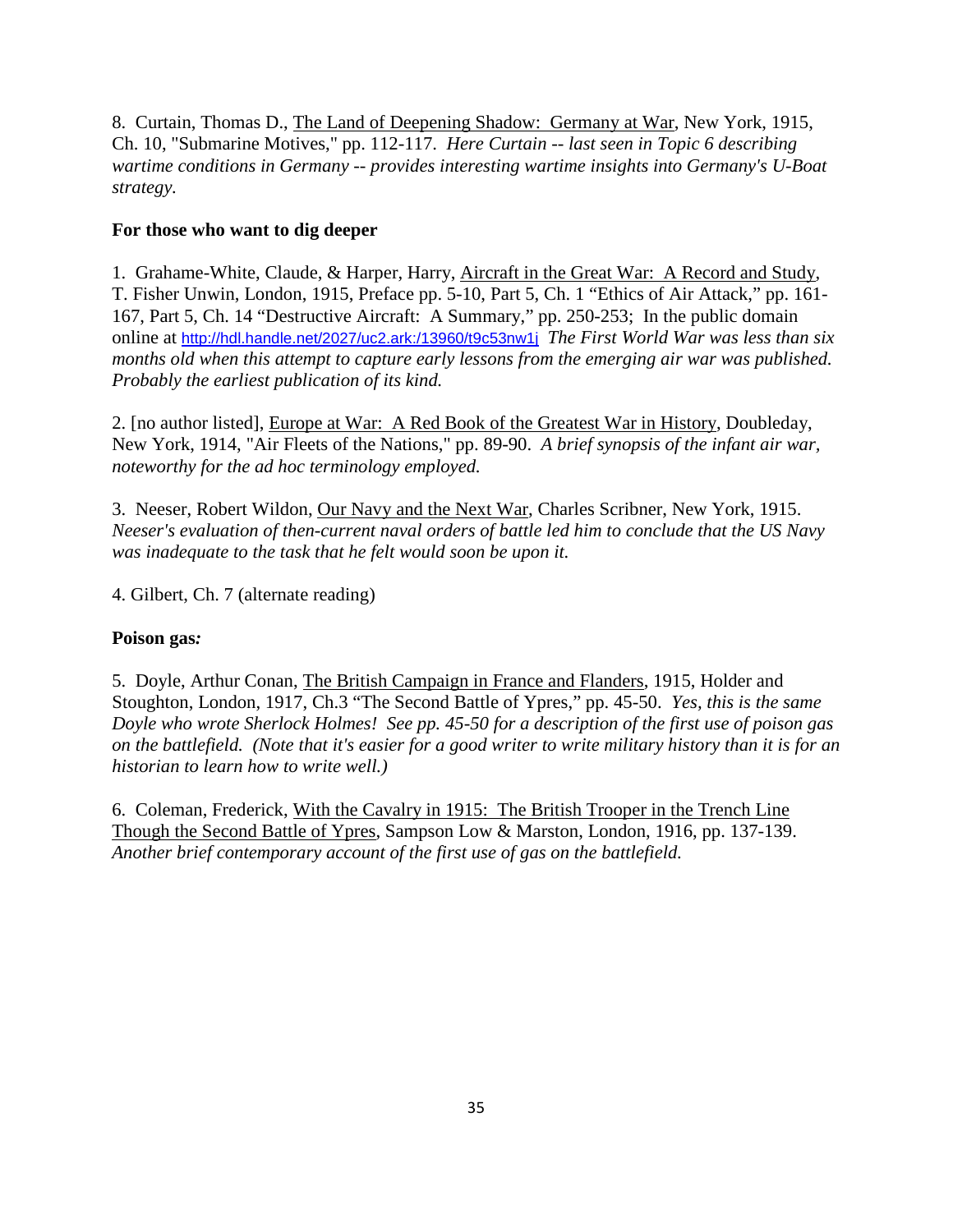8. Curtain, Thomas D., The Land of Deepening Shadow: Germany at War, New York, 1915, Ch. 10, "Submarine Motives," pp. 112-117. *Here Curtain -- last seen in Topic 6 describing wartime conditions in Germany -- provides interesting wartime insights into Germany's U-Boat strategy.* 

# **For those who want to dig deeper**

1. Grahame-White, Claude, & Harper, Harry, Aircraft in the Great War: A Record and Study, T. Fisher Unwin, London, 1915, Preface pp. 5-10, Part 5, Ch. 1 "Ethics of Air Attack," pp. 161- 167, Part 5, Ch. 14 "Destructive Aircraft: A Summary," pp. 250-253; In the public domain online at http://hdl.handle.net/2027/uc2.ark:/13960/t9c53nw1j *The First World War was less than six months old when this attempt to capture early lessons from the emerging air war was published. Probably the earliest publication of its kind.*

2. [no author listed], Europe at War: A Red Book of the Greatest War in History, Doubleday, New York, 1914, "Air Fleets of the Nations," pp. 89-90. *A brief synopsis of the infant air war, noteworthy for the ad hoc terminology employed.*

3. Neeser, Robert Wildon, Our Navy and the Next War, Charles Scribner, New York, 1915. *Neeser's evaluation of then-current naval orders of battle led him to conclude that the US Navy was inadequate to the task that he felt would soon be upon it.*

4. Gilbert, Ch. 7 (alternate reading)

# **Poison gas***:*

5. Doyle, Arthur Conan, The British Campaign in France and Flanders, 1915, Holder and Stoughton, London, 1917, Ch.3 "The Second Battle of Ypres," pp. 45-50. *Yes, this is the same Doyle who wrote Sherlock Holmes! See pp. 45-50 for a description of the first use of poison gas on the battlefield. (Note that it's easier for a good writer to write military history than it is for an historian to learn how to write well.)*

6. Coleman, Frederick, With the Cavalry in 1915: The British Trooper in the Trench Line Though the Second Battle of Ypres, Sampson Low & Marston, London, 1916, pp. 137-139. *Another brief contemporary account of the first use of gas on the battlefield.*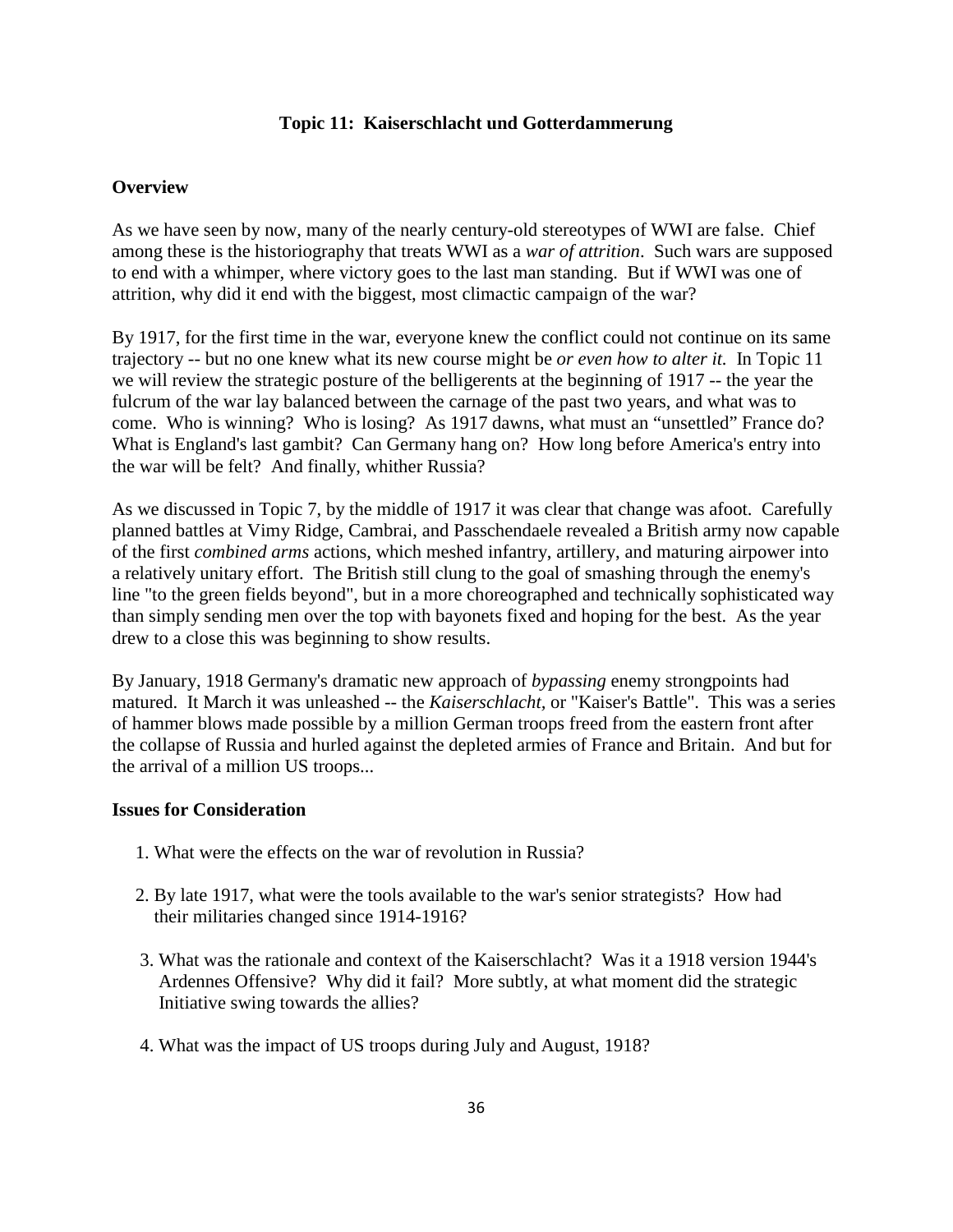#### **Topic 11: Kaiserschlacht und Gotterdammerung**

#### **Overview**

As we have seen by now, many of the nearly century-old stereotypes of WWI are false. Chief among these is the historiography that treats WWI as a *war of attrition*. Such wars are supposed to end with a whimper, where victory goes to the last man standing. But if WWI was one of attrition, why did it end with the biggest, most climactic campaign of the war?

By 1917, for the first time in the war, everyone knew the conflict could not continue on its same trajectory -- but no one knew what its new course might be *or even how to alter it.* In Topic 11 we will review the strategic posture of the belligerents at the beginning of 1917 -- the year the fulcrum of the war lay balanced between the carnage of the past two years, and what was to come. Who is winning? Who is losing? As 1917 dawns, what must an "unsettled" France do? What is England's last gambit? Can Germany hang on? How long before America's entry into the war will be felt? And finally, whither Russia?

As we discussed in Topic 7, by the middle of 1917 it was clear that change was afoot. Carefully planned battles at Vimy Ridge, Cambrai, and Passchendaele revealed a British army now capable of the first *combined arms* actions, which meshed infantry, artillery, and maturing airpower into a relatively unitary effort. The British still clung to the goal of smashing through the enemy's line "to the green fields beyond", but in a more choreographed and technically sophisticated way than simply sending men over the top with bayonets fixed and hoping for the best. As the year drew to a close this was beginning to show results.

By January, 1918 Germany's dramatic new approach of *bypassing* enemy strongpoints had matured. It March it was unleashed -- the *Kaiserschlacht,* or "Kaiser's Battle". This was a series of hammer blows made possible by a million German troops freed from the eastern front after the collapse of Russia and hurled against the depleted armies of France and Britain. And but for the arrival of a million US troops...

#### **Issues for Consideration**

- 1. What were the effects on the war of revolution in Russia?
- 2. By late 1917, what were the tools available to the war's senior strategists? How had their militaries changed since 1914-1916?
- 3. What was the rationale and context of the Kaiserschlacht? Was it a 1918 version 1944's Ardennes Offensive? Why did it fail? More subtly, at what moment did the strategic Initiative swing towards the allies?
- 4. What was the impact of US troops during July and August, 1918?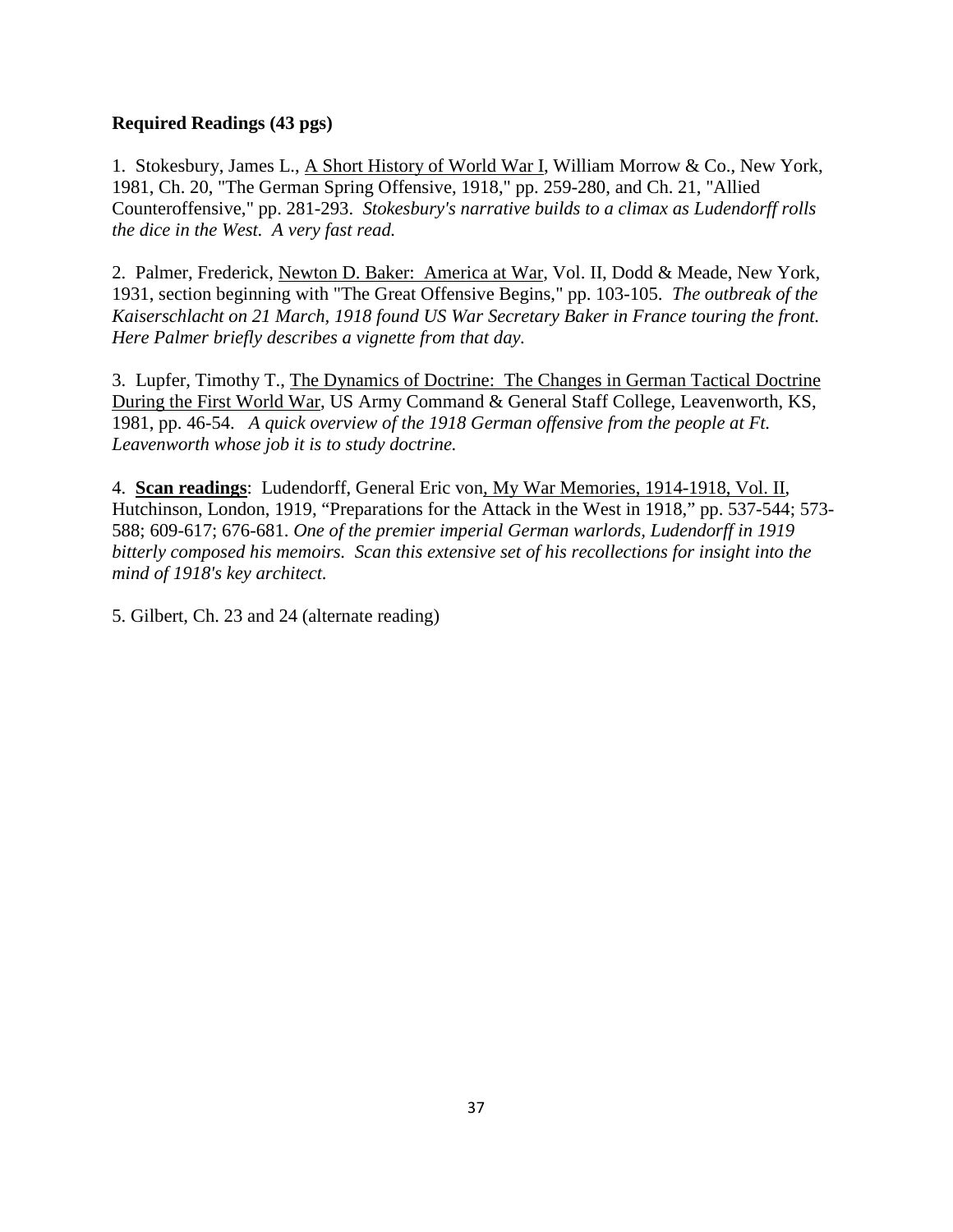# **Required Readings (43 pgs)**

1. Stokesbury, James L., A Short History of World War I, William Morrow & Co., New York, 1981, Ch. 20, "The German Spring Offensive, 1918," pp. 259-280, and Ch. 21, "Allied Counteroffensive," pp. 281-293. *Stokesbury's narrative builds to a climax as Ludendorff rolls the dice in the West. A very fast read.*

2. Palmer, Frederick, Newton D. Baker: America at War, Vol. II, Dodd & Meade, New York, 1931, section beginning with "The Great Offensive Begins," pp. 103-105. *The outbreak of the Kaiserschlacht on 21 March, 1918 found US War Secretary Baker in France touring the front. Here Palmer briefly describes a vignette from that day.*

3. Lupfer, Timothy T., The Dynamics of Doctrine: The Changes in German Tactical Doctrine During the First World War, US Army Command & General Staff College, Leavenworth, KS, 1981, pp. 46-54. *A quick overview of the 1918 German offensive from the people at Ft. Leavenworth whose job it is to study doctrine.*

4. **Scan readings**: Ludendorff, General Eric von, My War Memories, 1914-1918, Vol. II, Hutchinson, London, 1919, "Preparations for the Attack in the West in 1918," pp. 537-544; 573- 588; 609-617; 676-681. *One of the premier imperial German warlords, Ludendorff in 1919 bitterly composed his memoirs. Scan this extensive set of his recollections for insight into the mind of 1918's key architect.*

5. Gilbert, Ch. 23 and 24 (alternate reading)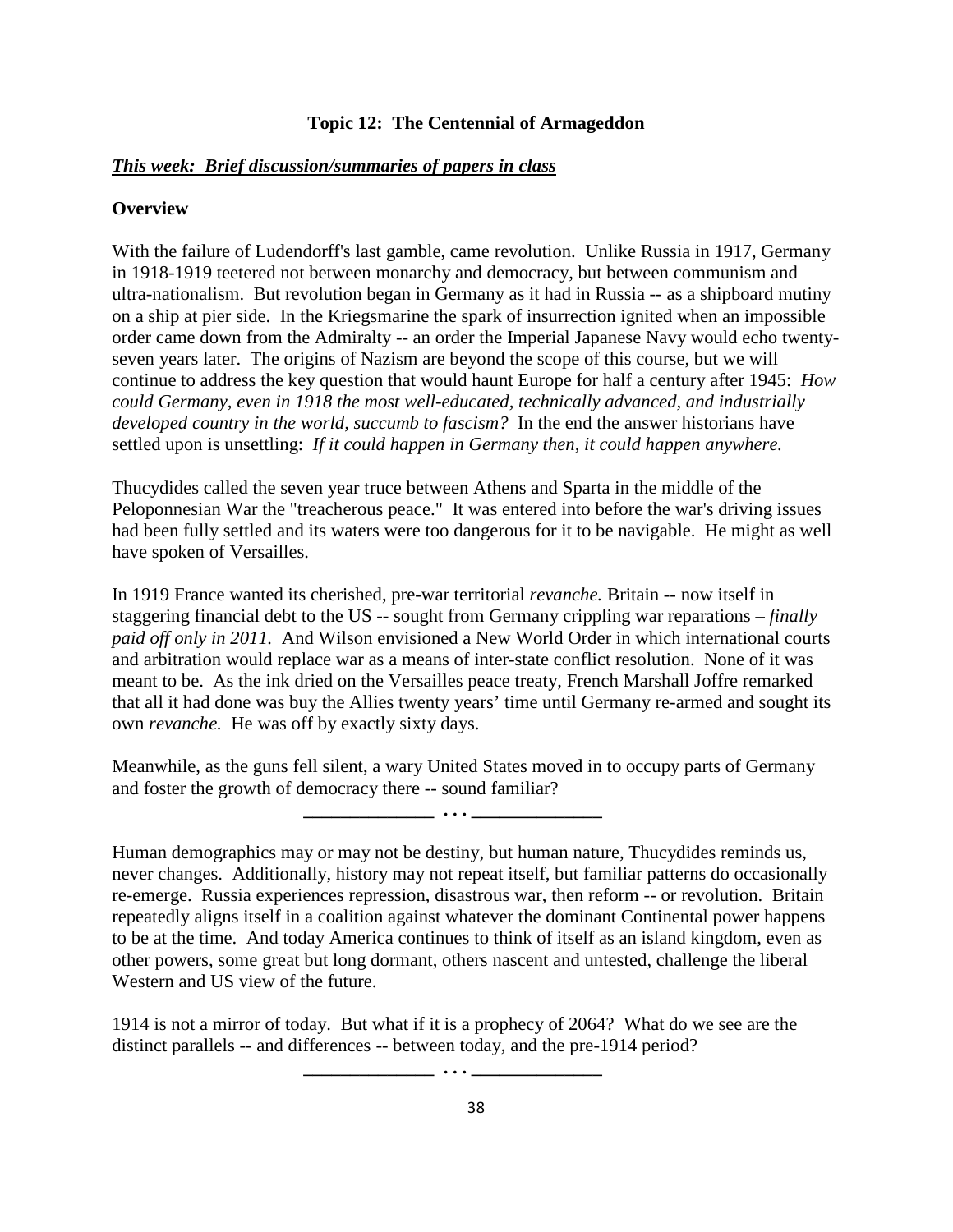#### **Topic 12: The Centennial of Armageddon**

#### *This week: Brief discussion/summaries of papers in class*

#### **Overview**

With the failure of Ludendorff's last gamble, came revolution. Unlike Russia in 1917, Germany in 1918-1919 teetered not between monarchy and democracy, but between communism and ultra-nationalism. But revolution began in Germany as it had in Russia -- as a shipboard mutiny on a ship at pier side. In the Kriegsmarine the spark of insurrection ignited when an impossible order came down from the Admiralty -- an order the Imperial Japanese Navy would echo twentyseven years later. The origins of Nazism are beyond the scope of this course, but we will continue to address the key question that would haunt Europe for half a century after 1945: *How could Germany, even in 1918 the most well-educated, technically advanced, and industrially developed country in the world, succumb to fascism?* In the end the answer historians have settled upon is unsettling: *If it could happen in Germany then, it could happen anywhere.*

Thucydides called the seven year truce between Athens and Sparta in the middle of the Peloponnesian War the "treacherous peace." It was entered into before the war's driving issues had been fully settled and its waters were too dangerous for it to be navigable. He might as well have spoken of Versailles.

In 1919 France wanted its cherished, pre-war territorial *revanche.* Britain -- now itself in staggering financial debt to the US -- sought from Germany crippling war reparations – *finally paid off only in 2011.* And Wilson envisioned a New World Order in which international courts and arbitration would replace war as a means of inter-state conflict resolution. None of it was meant to be. As the ink dried on the Versailles peace treaty, French Marshall Joffre remarked that all it had done was buy the Allies twenty years' time until Germany re-armed and sought its own *revanche.* He was off by exactly sixty days.

Meanwhile, as the guns fell silent, a wary United States moved in to occupy parts of Germany and foster the growth of democracy there -- sound familiar?

 **\_\_\_\_\_\_\_\_\_\_\_\_\_\_ . . . \_\_\_\_\_\_\_\_\_\_\_\_\_\_**

 **\_\_\_\_\_\_\_\_\_\_\_\_\_\_ . . . \_\_\_\_\_\_\_\_\_\_\_\_\_\_**

Human demographics may or may not be destiny, but human nature, Thucydides reminds us, never changes. Additionally, history may not repeat itself, but familiar patterns do occasionally re-emerge. Russia experiences repression, disastrous war, then reform -- or revolution. Britain repeatedly aligns itself in a coalition against whatever the dominant Continental power happens to be at the time. And today America continues to think of itself as an island kingdom, even as other powers, some great but long dormant, others nascent and untested, challenge the liberal Western and US view of the future.

1914 is not a mirror of today. But what if it is a prophecy of 2064? What do we see are the distinct parallels -- and differences -- between today, and the pre-1914 period?

38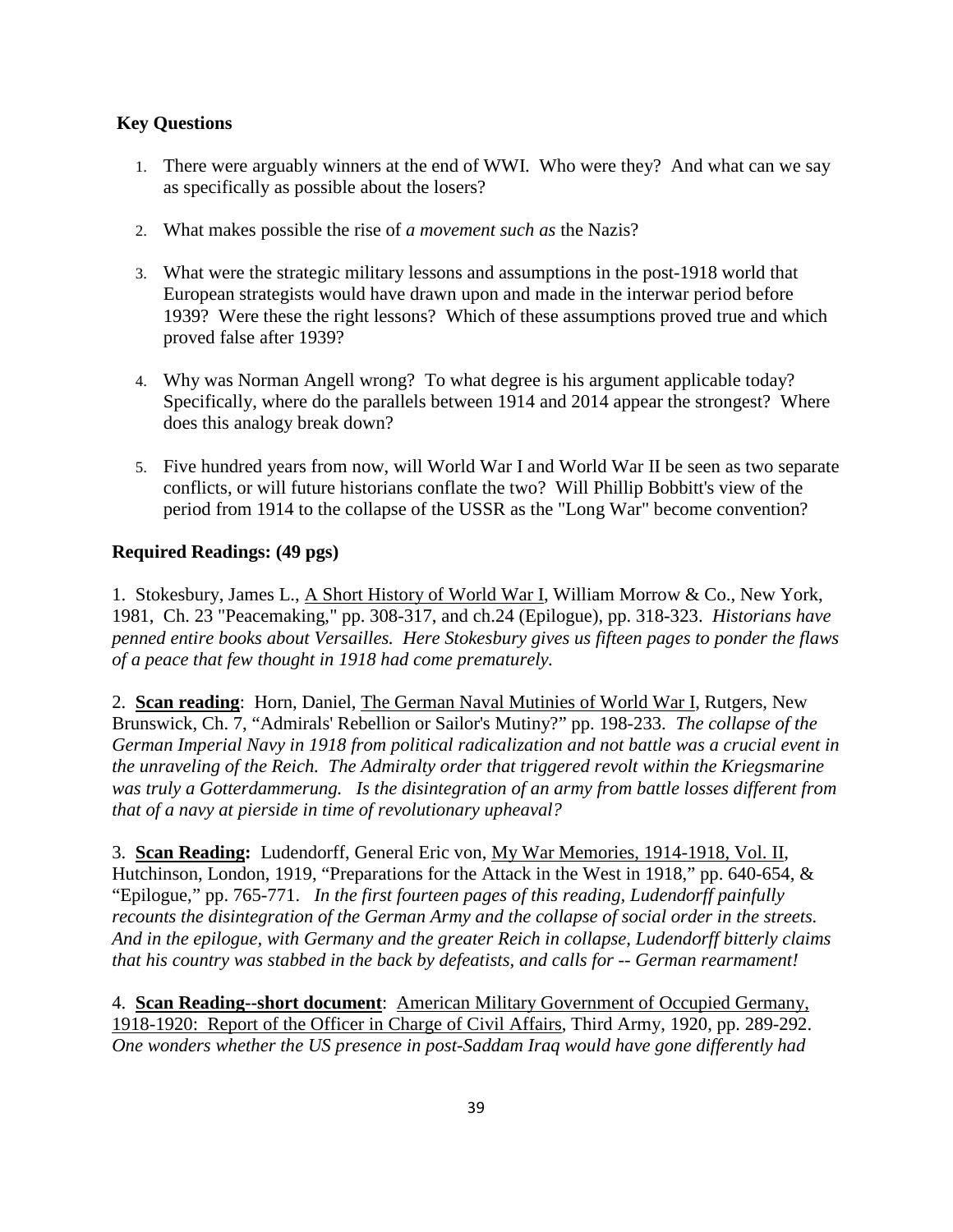# **Key Questions**

- 1. There were arguably winners at the end of WWI. Who were they? And what can we say as specifically as possible about the losers?
- 2. What makes possible the rise of *a movement such as* the Nazis?
- 3. What were the strategic military lessons and assumptions in the post-1918 world that European strategists would have drawn upon and made in the interwar period before 1939? Were these the right lessons? Which of these assumptions proved true and which proved false after 1939?
- 4. Why was Norman Angell wrong? To what degree is his argument applicable today? Specifically, where do the parallels between 1914 and 2014 appear the strongest? Where does this analogy break down?
- 5. Five hundred years from now, will World War I and World War II be seen as two separate conflicts, or will future historians conflate the two? Will Phillip Bobbitt's view of the period from 1914 to the collapse of the USSR as the "Long War" become convention?

# **Required Readings: (49 pgs)**

1. Stokesbury, James L., A Short History of World War I, William Morrow & Co., New York, 1981, Ch. 23 "Peacemaking," pp. 308-317, and ch.24 (Epilogue), pp. 318-323. *Historians have penned entire books about Versailles. Here Stokesbury gives us fifteen pages to ponder the flaws of a peace that few thought in 1918 had come prematurely.*

2. **Scan reading**: Horn, Daniel, The German Naval Mutinies of World War I, Rutgers, New Brunswick, Ch. 7, "Admirals' Rebellion or Sailor's Mutiny?" pp. 198-233. *The collapse of the German Imperial Navy in 1918 from political radicalization and not battle was a crucial event in the unraveling of the Reich. The Admiralty order that triggered revolt within the Kriegsmarine was truly a Gotterdammerung. Is the disintegration of an army from battle losses different from that of a navy at pierside in time of revolutionary upheaval?* 

3. **Scan Reading:** Ludendorff, General Eric von, My War Memories, 1914-1918, Vol. II, Hutchinson, London, 1919, "Preparations for the Attack in the West in 1918," pp. 640-654, & "Epilogue," pp. 765-771. *In the first fourteen pages of this reading, Ludendorff painfully recounts the disintegration of the German Army and the collapse of social order in the streets. And in the epilogue, with Germany and the greater Reich in collapse, Ludendorff bitterly claims that his country was stabbed in the back by defeatists, and calls for -- German rearmament!*

4. **Scan Reading--short document**: American Military Government of Occupied Germany, 1918-1920: Report of the Officer in Charge of Civil Affairs, Third Army, 1920, pp. 289-292. *One wonders whether the US presence in post-Saddam Iraq would have gone differently had*